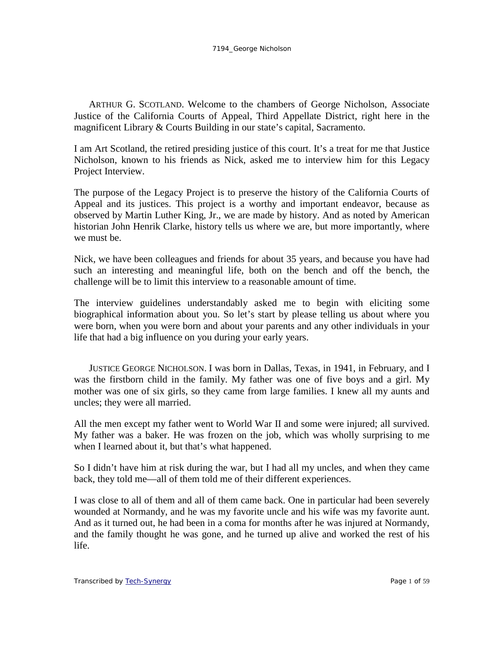ARTHUR G. SCOTLAND. Welcome to the chambers of George Nicholson, Associate Justice of the California Courts of Appeal, Third Appellate District, right here in the magnificent Library & Courts Building in our state's capital, Sacramento.

I am Art Scotland, the retired presiding justice of this court. It's a treat for me that Justice Nicholson, known to his friends as Nick, asked me to interview him for this Legacy Project Interview.

The purpose of the Legacy Project is to preserve the history of the California Courts of Appeal and its justices. This project is a worthy and important endeavor, because as observed by Martin Luther King, Jr., we are made by history. And as noted by American historian John Henrik Clarke, history tells us where we are, but more importantly, where we must be.

Nick, we have been colleagues and friends for about 35 years, and because you have had such an interesting and meaningful life, both on the bench and off the bench, the challenge will be to limit this interview to a reasonable amount of time.

The interview guidelines understandably asked me to begin with eliciting some biographical information about you. So let's start by please telling us about where you were born, when you were born and about your parents and any other individuals in your life that had a big influence on you during your early years.

JUSTICE GEORGE NICHOLSON. I was born in Dallas, Texas, in 1941, in February, and I was the firstborn child in the family. My father was one of five boys and a girl. My mother was one of six girls, so they came from large families. I knew all my aunts and uncles; they were all married.

All the men except my father went to World War II and some were injured; all survived. My father was a baker. He was frozen on the job, which was wholly surprising to me when I learned about it, but that's what happened.

So I didn't have him at risk during the war, but I had all my uncles, and when they came back, they told me—all of them told me of their different experiences.

I was close to all of them and all of them came back. One in particular had been severely wounded at Normandy, and he was my favorite uncle and his wife was my favorite aunt. And as it turned out, he had been in a coma for months after he was injured at Normandy, and the family thought he was gone, and he turned up alive and worked the rest of his life.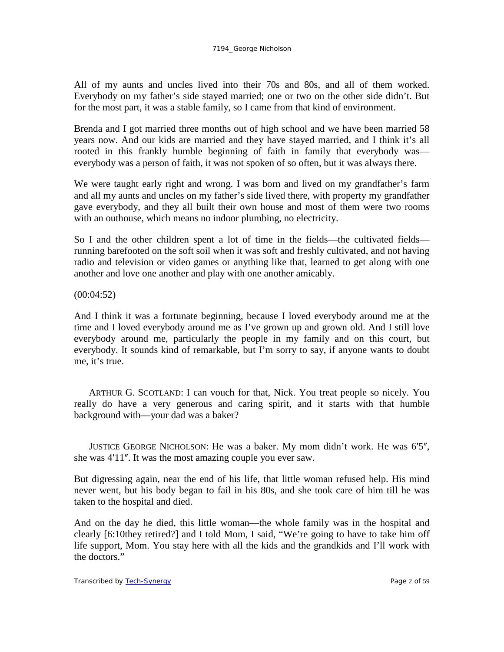All of my aunts and uncles lived into their 70s and 80s, and all of them worked. Everybody on my father's side stayed married; one or two on the other side didn't. But for the most part, it was a stable family, so I came from that kind of environment.

Brenda and I got married three months out of high school and we have been married 58 years now. And our kids are married and they have stayed married, and I think it's all rooted in this frankly humble beginning of faith in family that everybody was everybody was a person of faith, it was not spoken of so often, but it was always there.

We were taught early right and wrong. I was born and lived on my grandfather's farm and all my aunts and uncles on my father's side lived there, with property my grandfather gave everybody, and they all built their own house and most of them were two rooms with an outhouse, which means no indoor plumbing, no electricity.

So I and the other children spent a lot of time in the fields—the cultivated fields running barefooted on the soft soil when it was soft and freshly cultivated, and not having radio and television or video games or anything like that, learned to get along with one another and love one another and play with one another amicably.

(00:04:52)

And I think it was a fortunate beginning, because I loved everybody around me at the time and I loved everybody around me as I've grown up and grown old. And I still love everybody around me, particularly the people in my family and on this court, but everybody. It sounds kind of remarkable, but I'm sorry to say, if anyone wants to doubt me, it's true.

ARTHUR G. SCOTLAND: I can vouch for that, Nick. You treat people so nicely. You really do have a very generous and caring spirit, and it starts with that humble background with—your dad was a baker?

JUSTICE GEORGE NICHOLSON: He was a baker. My mom didn't work. He was 6'5", she was 4'11". It was the most amazing couple you ever saw.

But digressing again, near the end of his life, that little woman refused help. His mind never went, but his body began to fail in his 80s, and she took care of him till he was taken to the hospital and died.

And on the day he died, this little woman—the whole family was in the hospital and clearly [6:10they retired?] and I told Mom, I said, "We're going to have to take him off life support, Mom. You stay here with all the kids and the grandkids and I'll work with the doctors."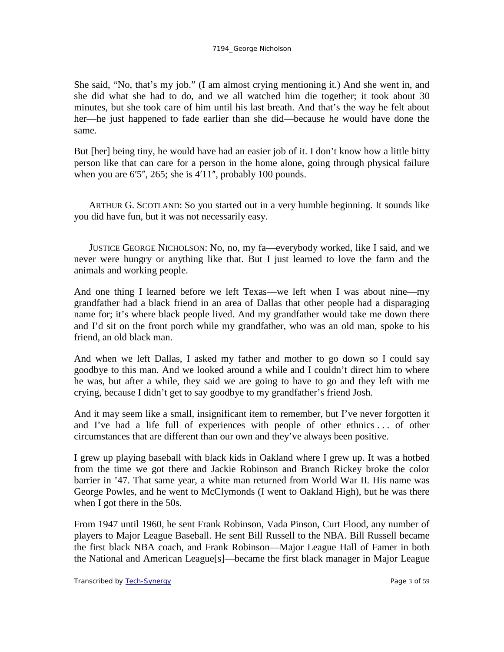She said, "No, that's my job." (I am almost crying mentioning it.) And she went in, and she did what she had to do, and we all watched him die together; it took about 30 minutes, but she took care of him until his last breath. And that's the way he felt about her—he just happened to fade earlier than she did—because he would have done the same.

But [her] being tiny, he would have had an easier job of it. I don't know how a little bitty person like that can care for a person in the home alone, going through physical failure when you are  $6'5''$ ,  $265$ ; she is  $4'11''$ , probably 100 pounds.

ARTHUR G. SCOTLAND: So you started out in a very humble beginning. It sounds like you did have fun, but it was not necessarily easy.

JUSTICE GEORGE NICHOLSON: No, no, my fa—everybody worked, like I said, and we never were hungry or anything like that. But I just learned to love the farm and the animals and working people.

And one thing I learned before we left Texas—we left when I was about nine—my grandfather had a black friend in an area of Dallas that other people had a disparaging name for; it's where black people lived. And my grandfather would take me down there and I'd sit on the front porch while my grandfather, who was an old man, spoke to his friend, an old black man.

And when we left Dallas, I asked my father and mother to go down so I could say goodbye to this man. And we looked around a while and I couldn't direct him to where he was, but after a while, they said we are going to have to go and they left with me crying, because I didn't get to say goodbye to my grandfather's friend Josh.

And it may seem like a small, insignificant item to remember, but I've never forgotten it and I've had a life full of experiences with people of other ethnics . . . of other circumstances that are different than our own and they've always been positive.

I grew up playing baseball with black kids in Oakland where I grew up. It was a hotbed from the time we got there and Jackie Robinson and Branch Rickey broke the color barrier in '47. That same year, a white man returned from World War II. His name was George Powles, and he went to McClymonds (I went to Oakland High), but he was there when I got there in the 50s.

From 1947 until 1960, he sent Frank Robinson, Vada Pinson, Curt Flood, any number of players to Major League Baseball. He sent Bill Russell to the NBA. Bill Russell became the first black NBA coach, and Frank Robinson—Major League Hall of Famer in both the National and American League[s]—became the first black manager in Major League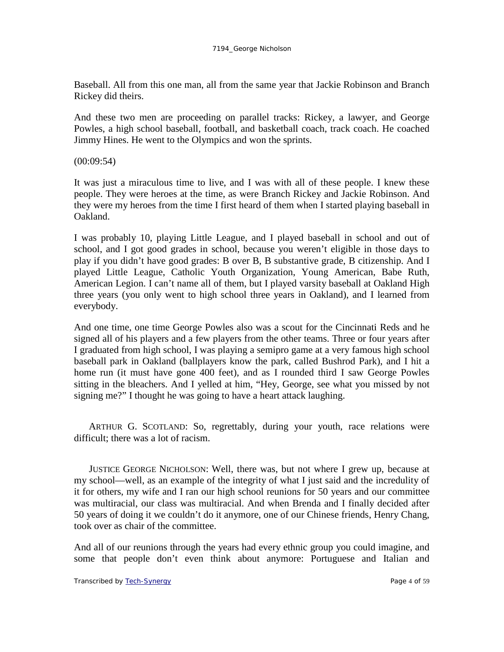Baseball. All from this one man, all from the same year that Jackie Robinson and Branch Rickey did theirs.

And these two men are proceeding on parallel tracks: Rickey, a lawyer, and George Powles, a high school baseball, football, and basketball coach, track coach. He coached Jimmy Hines. He went to the Olympics and won the sprints.

 $(00:09:54)$ 

It was just a miraculous time to live, and I was with all of these people. I knew these people. They were heroes at the time, as were Branch Rickey and Jackie Robinson. And they were my heroes from the time I first heard of them when I started playing baseball in Oakland.

I was probably 10, playing Little League, and I played baseball in school and out of school, and I got good grades in school, because you weren't eligible in those days to play if you didn't have good grades: B over B, B substantive grade, B citizenship. And I played Little League, Catholic Youth Organization, Young American, Babe Ruth, American Legion. I can't name all of them, but I played varsity baseball at Oakland High three years (you only went to high school three years in Oakland), and I learned from everybody.

And one time, one time George Powles also was a scout for the Cincinnati Reds and he signed all of his players and a few players from the other teams. Three or four years after I graduated from high school, I was playing a semipro game at a very famous high school baseball park in Oakland (ballplayers know the park, called Bushrod Park), and I hit a home run (it must have gone 400 feet), and as I rounded third I saw George Powles sitting in the bleachers. And I yelled at him, "Hey, George, see what you missed by not signing me?" I thought he was going to have a heart attack laughing.

ARTHUR G. SCOTLAND: So, regrettably, during your youth, race relations were difficult; there was a lot of racism.

JUSTICE GEORGE NICHOLSON: Well, there was, but not where I grew up, because at my school—well, as an example of the integrity of what I just said and the incredulity of it for others, my wife and I ran our high school reunions for 50 years and our committee was multiracial, our class was multiracial. And when Brenda and I finally decided after 50 years of doing it we couldn't do it anymore, one of our Chinese friends, Henry Chang, took over as chair of the committee.

And all of our reunions through the years had every ethnic group you could imagine, and some that people don't even think about anymore: Portuguese and Italian and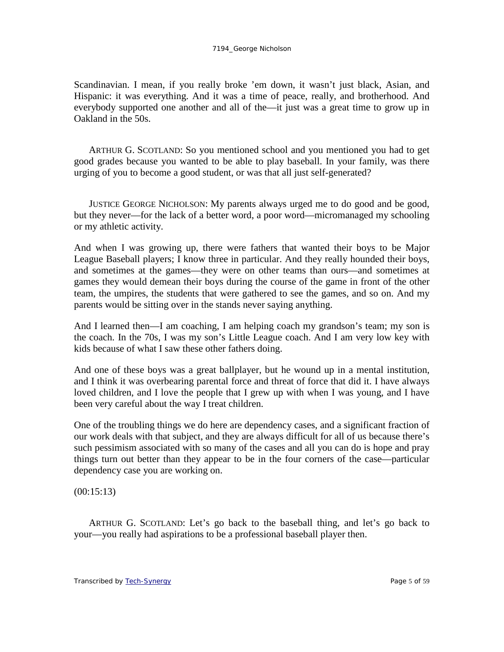#### 7194\_George Nicholson

Scandinavian. I mean, if you really broke 'em down, it wasn't just black, Asian, and Hispanic: it was everything. And it was a time of peace, really, and brotherhood. And everybody supported one another and all of the—it just was a great time to grow up in Oakland in the 50s.

ARTHUR G. SCOTLAND: So you mentioned school and you mentioned you had to get good grades because you wanted to be able to play baseball. In your family, was there urging of you to become a good student, or was that all just self-generated?

JUSTICE GEORGE NICHOLSON: My parents always urged me to do good and be good, but they never—for the lack of a better word, a poor word—micromanaged my schooling or my athletic activity.

And when I was growing up, there were fathers that wanted their boys to be Major League Baseball players; I know three in particular. And they really hounded their boys, and sometimes at the games—they were on other teams than ours—and sometimes at games they would demean their boys during the course of the game in front of the other team, the umpires, the students that were gathered to see the games, and so on. And my parents would be sitting over in the stands never saying anything.

And I learned then—I am coaching, I am helping coach my grandson's team; my son is the coach. In the 70s, I was my son's Little League coach. And I am very low key with kids because of what I saw these other fathers doing.

And one of these boys was a great ballplayer, but he wound up in a mental institution, and I think it was overbearing parental force and threat of force that did it. I have always loved children, and I love the people that I grew up with when I was young, and I have been very careful about the way I treat children.

One of the troubling things we do here are dependency cases, and a significant fraction of our work deals with that subject, and they are always difficult for all of us because there's such pessimism associated with so many of the cases and all you can do is hope and pray things turn out better than they appear to be in the four corners of the case—particular dependency case you are working on.

 $(00:15:13)$ 

ARTHUR G. SCOTLAND: Let's go back to the baseball thing, and let's go back to your—you really had aspirations to be a professional baseball player then.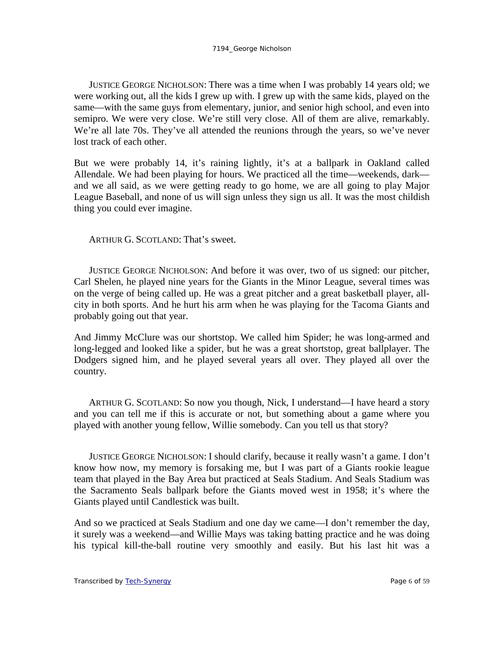JUSTICE GEORGE NICHOLSON: There was a time when I was probably 14 years old; we were working out, all the kids I grew up with. I grew up with the same kids, played on the same—with the same guys from elementary, junior, and senior high school, and even into semipro. We were very close. We're still very close. All of them are alive, remarkably. We're all late 70s. They've all attended the reunions through the years, so we've never lost track of each other.

But we were probably 14, it's raining lightly, it's at a ballpark in Oakland called Allendale. We had been playing for hours. We practiced all the time—weekends, dark and we all said, as we were getting ready to go home, we are all going to play Major League Baseball, and none of us will sign unless they sign us all. It was the most childish thing you could ever imagine.

ARTHUR G. SCOTLAND: That's sweet.

JUSTICE GEORGE NICHOLSON: And before it was over, two of us signed: our pitcher, Carl Shelen, he played nine years for the Giants in the Minor League, several times was on the verge of being called up. He was a great pitcher and a great basketball player, allcity in both sports. And he hurt his arm when he was playing for the Tacoma Giants and probably going out that year.

And Jimmy McClure was our shortstop. We called him Spider; he was long-armed and long-legged and looked like a spider, but he was a great shortstop, great ballplayer. The Dodgers signed him, and he played several years all over. They played all over the country.

ARTHUR G. SCOTLAND: So now you though, Nick, I understand—I have heard a story and you can tell me if this is accurate or not, but something about a game where you played with another young fellow, Willie somebody. Can you tell us that story?

JUSTICE GEORGE NICHOLSON: I should clarify, because it really wasn't a game. I don't know how now, my memory is forsaking me, but I was part of a Giants rookie league team that played in the Bay Area but practiced at Seals Stadium. And Seals Stadium was the Sacramento Seals ballpark before the Giants moved west in 1958; it's where the Giants played until Candlestick was built.

And so we practiced at Seals Stadium and one day we came—I don't remember the day, it surely was a weekend—and Willie Mays was taking batting practice and he was doing his typical kill-the-ball routine very smoothly and easily. But his last hit was a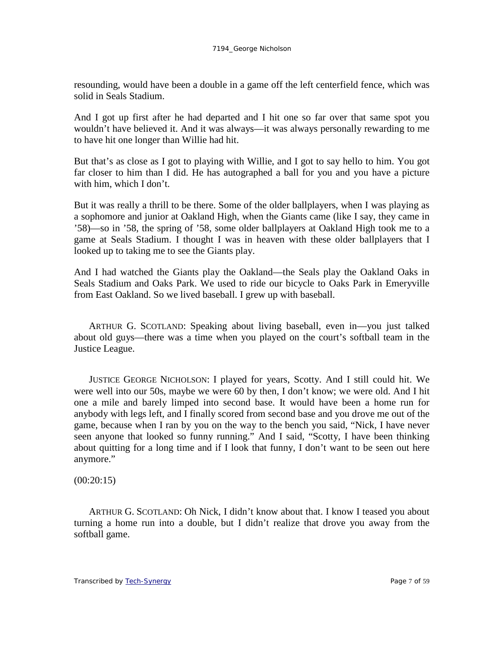resounding, would have been a double in a game off the left centerfield fence, which was solid in Seals Stadium.

And I got up first after he had departed and I hit one so far over that same spot you wouldn't have believed it. And it was always—it was always personally rewarding to me to have hit one longer than Willie had hit.

But that's as close as I got to playing with Willie, and I got to say hello to him. You got far closer to him than I did. He has autographed a ball for you and you have a picture with him, which I don't.

But it was really a thrill to be there. Some of the older ballplayers, when I was playing as a sophomore and junior at Oakland High, when the Giants came (like I say, they came in '58)—so in '58, the spring of '58, some older ballplayers at Oakland High took me to a game at Seals Stadium. I thought I was in heaven with these older ballplayers that I looked up to taking me to see the Giants play.

And I had watched the Giants play the Oakland—the Seals play the Oakland Oaks in Seals Stadium and Oaks Park. We used to ride our bicycle to Oaks Park in Emeryville from East Oakland. So we lived baseball. I grew up with baseball.

ARTHUR G. SCOTLAND: Speaking about living baseball, even in—you just talked about old guys—there was a time when you played on the court's softball team in the Justice League.

JUSTICE GEORGE NICHOLSON: I played for years, Scotty. And I still could hit. We were well into our 50s, maybe we were 60 by then, I don't know; we were old. And I hit one a mile and barely limped into second base. It would have been a home run for anybody with legs left, and I finally scored from second base and you drove me out of the game, because when I ran by you on the way to the bench you said, "Nick, I have never seen anyone that looked so funny running." And I said, "Scotty, I have been thinking about quitting for a long time and if I look that funny, I don't want to be seen out here anymore."

 $(00:20:15)$ 

ARTHUR G. SCOTLAND: Oh Nick, I didn't know about that. I know I teased you about turning a home run into a double, but I didn't realize that drove you away from the softball game.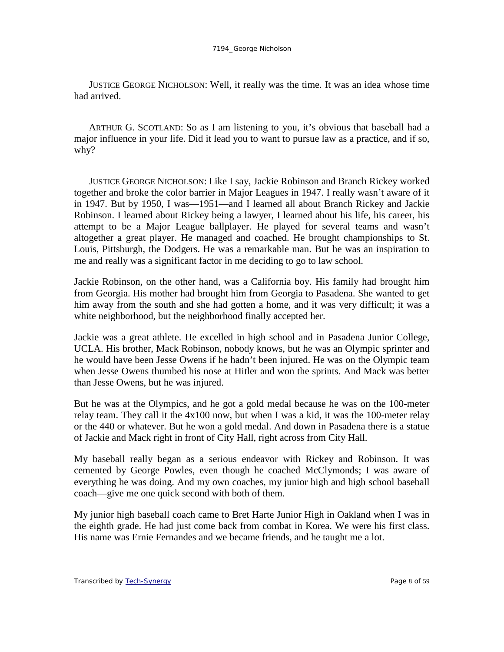JUSTICE GEORGE NICHOLSON: Well, it really was the time. It was an idea whose time had arrived.

ARTHUR G. SCOTLAND: So as I am listening to you, it's obvious that baseball had a major influence in your life. Did it lead you to want to pursue law as a practice, and if so, why?

JUSTICE GEORGE NICHOLSON: Like I say, Jackie Robinson and Branch Rickey worked together and broke the color barrier in Major Leagues in 1947. I really wasn't aware of it in 1947. But by 1950, I was—1951—and I learned all about Branch Rickey and Jackie Robinson. I learned about Rickey being a lawyer, I learned about his life, his career, his attempt to be a Major League ballplayer. He played for several teams and wasn't altogether a great player. He managed and coached. He brought championships to St. Louis, Pittsburgh, the Dodgers. He was a remarkable man. But he was an inspiration to me and really was a significant factor in me deciding to go to law school.

Jackie Robinson, on the other hand, was a California boy. His family had brought him from Georgia. His mother had brought him from Georgia to Pasadena. She wanted to get him away from the south and she had gotten a home, and it was very difficult; it was a white neighborhood, but the neighborhood finally accepted her.

Jackie was a great athlete. He excelled in high school and in Pasadena Junior College, UCLA. His brother, Mack Robinson, nobody knows, but he was an Olympic sprinter and he would have been Jesse Owens if he hadn't been injured. He was on the Olympic team when Jesse Owens thumbed his nose at Hitler and won the sprints. And Mack was better than Jesse Owens, but he was injured.

But he was at the Olympics, and he got a gold medal because he was on the 100-meter relay team. They call it the 4x100 now, but when I was a kid, it was the 100-meter relay or the 440 or whatever. But he won a gold medal. And down in Pasadena there is a statue of Jackie and Mack right in front of City Hall, right across from City Hall.

My baseball really began as a serious endeavor with Rickey and Robinson. It was cemented by George Powles, even though he coached McClymonds; I was aware of everything he was doing. And my own coaches, my junior high and high school baseball coach—give me one quick second with both of them.

My junior high baseball coach came to Bret Harte Junior High in Oakland when I was in the eighth grade. He had just come back from combat in Korea. We were his first class. His name was Ernie Fernandes and we became friends, and he taught me a lot.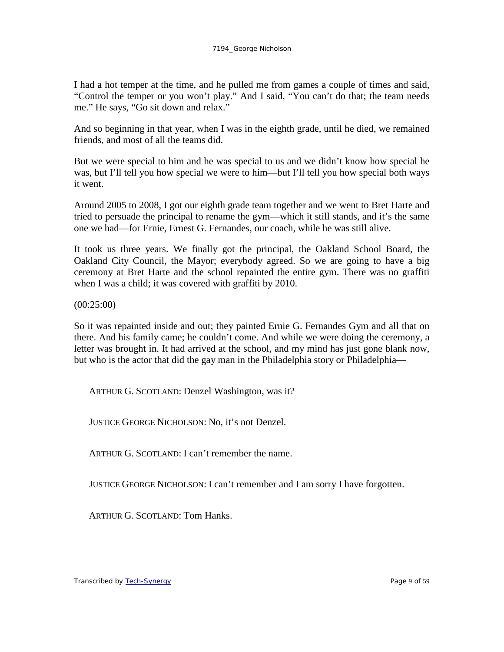I had a hot temper at the time, and he pulled me from games a couple of times and said, "Control the temper or you won't play." And I said, "You can't do that; the team needs me." He says, "Go sit down and relax."

And so beginning in that year, when I was in the eighth grade, until he died, we remained friends, and most of all the teams did.

But we were special to him and he was special to us and we didn't know how special he was, but I'll tell you how special we were to him—but I'll tell you how special both ways it went.

Around 2005 to 2008, I got our eighth grade team together and we went to Bret Harte and tried to persuade the principal to rename the gym—which it still stands, and it's the same one we had—for Ernie, Ernest G. Fernandes, our coach, while he was still alive.

It took us three years. We finally got the principal, the Oakland School Board, the Oakland City Council, the Mayor; everybody agreed. So we are going to have a big ceremony at Bret Harte and the school repainted the entire gym. There was no graffiti when I was a child; it was covered with graffiti by 2010.

(00:25:00)

So it was repainted inside and out; they painted Ernie G. Fernandes Gym and all that on there. And his family came; he couldn't come. And while we were doing the ceremony, a letter was brought in. It had arrived at the school, and my mind has just gone blank now, but who is the actor that did the gay man in the Philadelphia story or Philadelphia—

ARTHUR G. SCOTLAND: Denzel Washington, was it?

JUSTICE GEORGE NICHOLSON: No, it's not Denzel.

ARTHUR G. SCOTLAND: I can't remember the name.

JUSTICE GEORGE NICHOLSON: I can't remember and I am sorry I have forgotten.

ARTHUR G. SCOTLAND: Tom Hanks.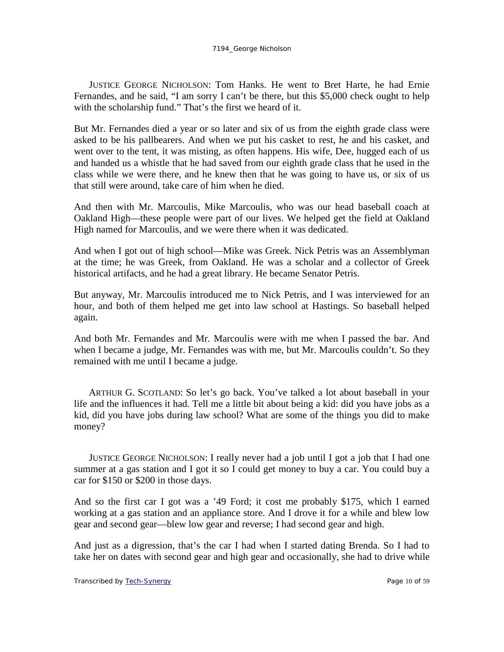JUSTICE GEORGE NICHOLSON: Tom Hanks. He went to Bret Harte, he had Ernie Fernandes, and he said, "I am sorry I can't be there, but this \$5,000 check ought to help with the scholarship fund." That's the first we heard of it.

But Mr. Fernandes died a year or so later and six of us from the eighth grade class were asked to be his pallbearers. And when we put his casket to rest, he and his casket, and went over to the tent, it was misting, as often happens. His wife, Dee, hugged each of us and handed us a whistle that he had saved from our eighth grade class that he used in the class while we were there, and he knew then that he was going to have us, or six of us that still were around, take care of him when he died.

And then with Mr. Marcoulis, Mike Marcoulis, who was our head baseball coach at Oakland High—these people were part of our lives. We helped get the field at Oakland High named for Marcoulis, and we were there when it was dedicated.

And when I got out of high school—Mike was Greek. Nick Petris was an Assemblyman at the time; he was Greek, from Oakland. He was a scholar and a collector of Greek historical artifacts, and he had a great library. He became Senator Petris.

But anyway, Mr. Marcoulis introduced me to Nick Petris, and I was interviewed for an hour, and both of them helped me get into law school at Hastings. So baseball helped again.

And both Mr. Fernandes and Mr. Marcoulis were with me when I passed the bar. And when I became a judge, Mr. Fernandes was with me, but Mr. Marcoulis couldn't. So they remained with me until I became a judge.

ARTHUR G. SCOTLAND: So let's go back. You've talked a lot about baseball in your life and the influences it had. Tell me a little bit about being a kid: did you have jobs as a kid, did you have jobs during law school? What are some of the things you did to make money?

JUSTICE GEORGE NICHOLSON: I really never had a job until I got a job that I had one summer at a gas station and I got it so I could get money to buy a car. You could buy a car for \$150 or \$200 in those days.

And so the first car I got was a '49 Ford; it cost me probably \$175, which I earned working at a gas station and an appliance store. And I drove it for a while and blew low gear and second gear—blew low gear and reverse; I had second gear and high.

And just as a digression, that's the car I had when I started dating Brenda. So I had to take her on dates with second gear and high gear and occasionally, she had to drive while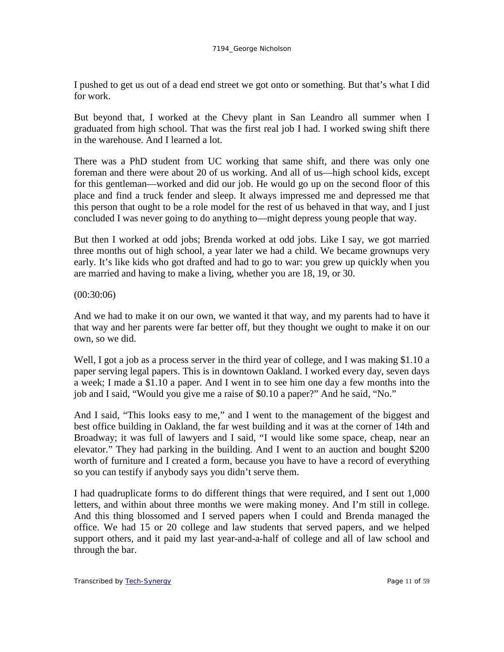I pushed to get us out of a dead end street we got onto or something. But that's what I did for work.

But beyond that, I worked at the Chevy plant in San Leandro all summer when I graduated from high school. That was the first real job I had. I worked swing shift there in the warehouse. And I learned a lot.

There was a PhD student from UC working that same shift, and there was only one foreman and there were about 20 of us working. And all of us—high school kids, except for this gentleman—worked and did our job. He would go up on the second floor of this place and find a truck fender and sleep. It always impressed me and depressed me that this person that ought to be a role model for the rest of us behaved in that way, and I just concluded I was never going to do anything to—might depress young people that way.

But then I worked at odd jobs; Brenda worked at odd jobs. Like I say, we got married three months out of high school, a year later we had a child. We became grownups very early. It's like kids who got drafted and had to go to war: you grew up quickly when you are married and having to make a living, whether you are 18, 19, or 30.

## (00:30:06)

And we had to make it on our own, we wanted it that way, and my parents had to have it that way and her parents were far better off, but they thought we ought to make it on our own, so we did.

Well, I got a job as a process server in the third year of college, and I was making \$1.10 a paper serving legal papers. This is in downtown Oakland. I worked every day, seven days a week; I made a \$1.10 a paper. And I went in to see him one day a few months into the job and I said, "Would you give me a raise of \$0.10 a paper?" And he said, "No."

And I said, "This looks easy to me," and I went to the management of the biggest and best office building in Oakland, the far west building and it was at the corner of 14th and Broadway; it was full of lawyers and I said, "I would like some space, cheap, near an elevator." They had parking in the building. And I went to an auction and bought \$200 worth of furniture and I created a form, because you have to have a record of everything so you can testify if anybody says you didn't serve them.

I had quadruplicate forms to do different things that were required, and I sent out 1,000 letters, and within about three months we were making money. And I'm still in college. And this thing blossomed and I served papers when I could and Brenda managed the office. We had 15 or 20 college and law students that served papers, and we helped support others, and it paid my last year-and-a-half of college and all of law school and through the bar.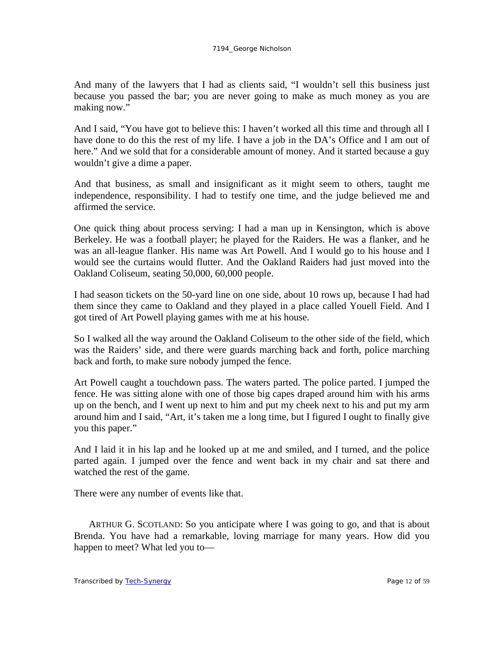And many of the lawyers that I had as clients said, "I wouldn't sell this business just because you passed the bar; you are never going to make as much money as you are making now."

And I said, "You have got to believe this: I haven't worked all this time and through all I have done to do this the rest of my life. I have a job in the DA's Office and I am out of here." And we sold that for a considerable amount of money. And it started because a guy wouldn't give a dime a paper.

And that business, as small and insignificant as it might seem to others, taught me independence, responsibility. I had to testify one time, and the judge believed me and affirmed the service.

One quick thing about process serving: I had a man up in Kensington, which is above Berkeley. He was a football player; he played for the Raiders. He was a flanker, and he was an all-league flanker. His name was Art Powell. And I would go to his house and I would see the curtains would flutter. And the Oakland Raiders had just moved into the Oakland Coliseum, seating 50,000, 60,000 people.

I had season tickets on the 50-yard line on one side, about 10 rows up, because I had had them since they came to Oakland and they played in a place called Youell Field. And I got tired of Art Powell playing games with me at his house.

So I walked all the way around the Oakland Coliseum to the other side of the field, which was the Raiders' side, and there were guards marching back and forth, police marching back and forth, to make sure nobody jumped the fence.

Art Powell caught a touchdown pass. The waters parted. The police parted. I jumped the fence. He was sitting alone with one of those big capes draped around him with his arms up on the bench, and I went up next to him and put my cheek next to his and put my arm around him and I said, "Art, it's taken me a long time, but I figured I ought to finally give you this paper."

And I laid it in his lap and he looked up at me and smiled, and I turned, and the police parted again. I jumped over the fence and went back in my chair and sat there and watched the rest of the game.

There were any number of events like that.

ARTHUR G. SCOTLAND: So you anticipate where I was going to go, and that is about Brenda. You have had a remarkable, loving marriage for many years. How did you happen to meet? What led you to—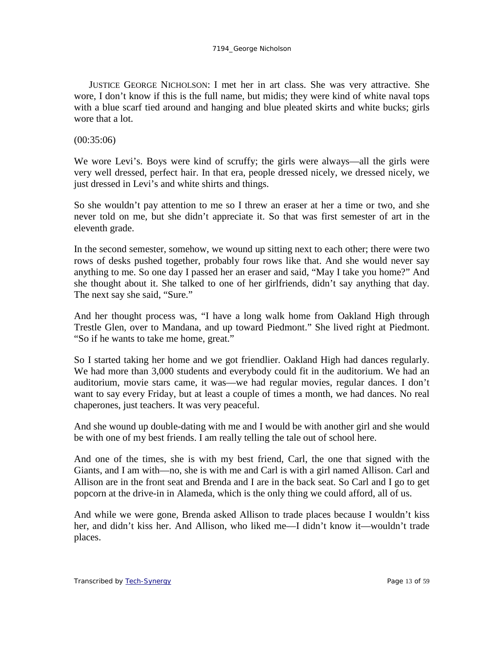### 7194\_George Nicholson

JUSTICE GEORGE NICHOLSON: I met her in art class. She was very attractive. She wore, I don't know if this is the full name, but midis; they were kind of white naval tops with a blue scarf tied around and hanging and blue pleated skirts and white bucks; girls wore that a lot.

## (00:35:06)

We wore Levi's. Boys were kind of scruffy; the girls were always—all the girls were very well dressed, perfect hair. In that era, people dressed nicely, we dressed nicely, we just dressed in Levi's and white shirts and things.

So she wouldn't pay attention to me so I threw an eraser at her a time or two, and she never told on me, but she didn't appreciate it. So that was first semester of art in the eleventh grade.

In the second semester, somehow, we wound up sitting next to each other; there were two rows of desks pushed together, probably four rows like that. And she would never say anything to me. So one day I passed her an eraser and said, "May I take you home?" And she thought about it. She talked to one of her girlfriends, didn't say anything that day. The next say she said, "Sure."

And her thought process was, "I have a long walk home from Oakland High through Trestle Glen, over to Mandana, and up toward Piedmont." She lived right at Piedmont. "So if he wants to take me home, great."

So I started taking her home and we got friendlier. Oakland High had dances regularly. We had more than 3,000 students and everybody could fit in the auditorium. We had an auditorium, movie stars came, it was—we had regular movies, regular dances. I don't want to say every Friday, but at least a couple of times a month, we had dances. No real chaperones, just teachers. It was very peaceful.

And she wound up double-dating with me and I would be with another girl and she would be with one of my best friends. I am really telling the tale out of school here.

And one of the times, she is with my best friend, Carl, the one that signed with the Giants, and I am with—no, she is with me and Carl is with a girl named Allison. Carl and Allison are in the front seat and Brenda and I are in the back seat. So Carl and I go to get popcorn at the drive-in in Alameda, which is the only thing we could afford, all of us.

And while we were gone, Brenda asked Allison to trade places because I wouldn't kiss her, and didn't kiss her. And Allison, who liked me—I didn't know it—wouldn't trade places.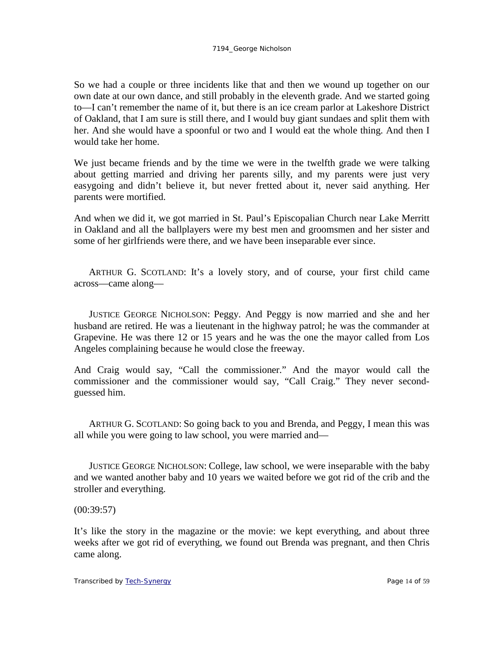So we had a couple or three incidents like that and then we wound up together on our own date at our own dance, and still probably in the eleventh grade. And we started going to—I can't remember the name of it, but there is an ice cream parlor at Lakeshore District of Oakland, that I am sure is still there, and I would buy giant sundaes and split them with her. And she would have a spoonful or two and I would eat the whole thing. And then I would take her home.

We just became friends and by the time we were in the twelfth grade we were talking about getting married and driving her parents silly, and my parents were just very easygoing and didn't believe it, but never fretted about it, never said anything. Her parents were mortified.

And when we did it, we got married in St. Paul's Episcopalian Church near Lake Merritt in Oakland and all the ballplayers were my best men and groomsmen and her sister and some of her girlfriends were there, and we have been inseparable ever since.

ARTHUR G. SCOTLAND: It's a lovely story, and of course, your first child came across—came along—

JUSTICE GEORGE NICHOLSON: Peggy. And Peggy is now married and she and her husband are retired. He was a lieutenant in the highway patrol; he was the commander at Grapevine. He was there 12 or 15 years and he was the one the mayor called from Los Angeles complaining because he would close the freeway.

And Craig would say, "Call the commissioner." And the mayor would call the commissioner and the commissioner would say, "Call Craig." They never secondguessed him.

ARTHUR G. SCOTLAND: So going back to you and Brenda, and Peggy, I mean this was all while you were going to law school, you were married and—

JUSTICE GEORGE NICHOLSON: College, law school, we were inseparable with the baby and we wanted another baby and 10 years we waited before we got rid of the crib and the stroller and everything.

(00:39:57)

It's like the story in the magazine or the movie: we kept everything, and about three weeks after we got rid of everything, we found out Brenda was pregnant, and then Chris came along.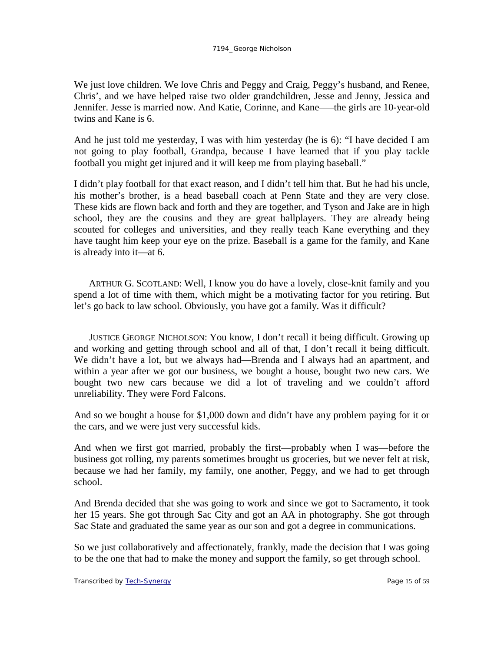We just love children. We love Chris and Peggy and Craig, Peggy's husband, and Renee, Chris', and we have helped raise two older grandchildren, Jesse and Jenny, Jessica and Jennifer. Jesse is married now. And Katie, Corinne, and Kane–—the girls are 10-year-old twins and Kane is 6.

And he just told me yesterday, I was with him yesterday (he is 6): "I have decided I am not going to play football, Grandpa, because I have learned that if you play tackle football you might get injured and it will keep me from playing baseball."

I didn't play football for that exact reason, and I didn't tell him that. But he had his uncle, his mother's brother, is a head baseball coach at Penn State and they are very close. These kids are flown back and forth and they are together, and Tyson and Jake are in high school, they are the cousins and they are great ballplayers. They are already being scouted for colleges and universities, and they really teach Kane everything and they have taught him keep your eye on the prize. Baseball is a game for the family, and Kane is already into it—at 6.

ARTHUR G. SCOTLAND: Well, I know you do have a lovely, close-knit family and you spend a lot of time with them, which might be a motivating factor for you retiring. But let's go back to law school. Obviously, you have got a family. Was it difficult?

JUSTICE GEORGE NICHOLSON: You know, I don't recall it being difficult. Growing up and working and getting through school and all of that, I don't recall it being difficult. We didn't have a lot, but we always had—Brenda and I always had an apartment, and within a year after we got our business, we bought a house, bought two new cars. We bought two new cars because we did a lot of traveling and we couldn't afford unreliability. They were Ford Falcons.

And so we bought a house for \$1,000 down and didn't have any problem paying for it or the cars, and we were just very successful kids.

And when we first got married, probably the first—probably when I was—before the business got rolling, my parents sometimes brought us groceries, but we never felt at risk, because we had her family, my family, one another, Peggy, and we had to get through school.

And Brenda decided that she was going to work and since we got to Sacramento, it took her 15 years. She got through Sac City and got an AA in photography. She got through Sac State and graduated the same year as our son and got a degree in communications.

So we just collaboratively and affectionately, frankly, made the decision that I was going to be the one that had to make the money and support the family, so get through school.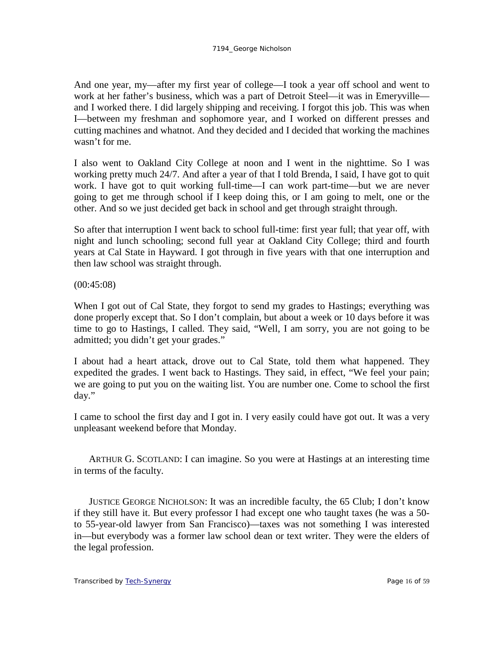And one year, my—after my first year of college—I took a year off school and went to work at her father's business, which was a part of Detroit Steel—it was in Emeryville and I worked there. I did largely shipping and receiving. I forgot this job. This was when I—between my freshman and sophomore year, and I worked on different presses and cutting machines and whatnot. And they decided and I decided that working the machines wasn't for me.

I also went to Oakland City College at noon and I went in the nighttime. So I was working pretty much 24/7. And after a year of that I told Brenda, I said, I have got to quit work. I have got to quit working full-time—I can work part-time—but we are never going to get me through school if I keep doing this, or I am going to melt, one or the other. And so we just decided get back in school and get through straight through.

So after that interruption I went back to school full-time: first year full; that year off, with night and lunch schooling; second full year at Oakland City College; third and fourth years at Cal State in Hayward. I got through in five years with that one interruption and then law school was straight through.

(00:45:08)

When I got out of Cal State, they forgot to send my grades to Hastings; everything was done properly except that. So I don't complain, but about a week or 10 days before it was time to go to Hastings, I called. They said, "Well, I am sorry, you are not going to be admitted; you didn't get your grades."

I about had a heart attack, drove out to Cal State, told them what happened. They expedited the grades. I went back to Hastings. They said, in effect, "We feel your pain; we are going to put you on the waiting list. You are number one. Come to school the first day."

I came to school the first day and I got in. I very easily could have got out. It was a very unpleasant weekend before that Monday.

ARTHUR G. SCOTLAND: I can imagine. So you were at Hastings at an interesting time in terms of the faculty.

JUSTICE GEORGE NICHOLSON: It was an incredible faculty, the 65 Club; I don't know if they still have it. But every professor I had except one who taught taxes (he was a 50 to 55-year-old lawyer from San Francisco)—taxes was not something I was interested in—but everybody was a former law school dean or text writer. They were the elders of the legal profession.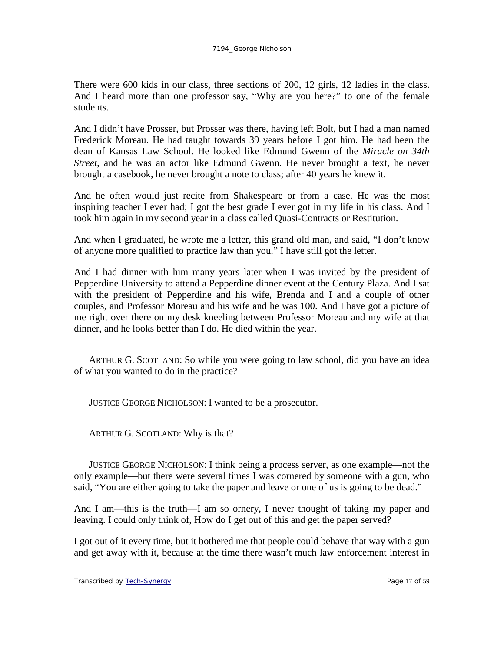There were 600 kids in our class, three sections of 200, 12 girls, 12 ladies in the class. And I heard more than one professor say, "Why are you here?" to one of the female students.

And I didn't have Prosser, but Prosser was there, having left Bolt, but I had a man named Frederick Moreau. He had taught towards 39 years before I got him. He had been the dean of Kansas Law School. He looked like Edmund Gwenn of the *Miracle on 34th Street*, and he was an actor like Edmund Gwenn. He never brought a text, he never brought a casebook, he never brought a note to class; after 40 years he knew it.

And he often would just recite from Shakespeare or from a case. He was the most inspiring teacher I ever had; I got the best grade I ever got in my life in his class. And I took him again in my second year in a class called Quasi-Contracts or Restitution.

And when I graduated, he wrote me a letter, this grand old man, and said, "I don't know of anyone more qualified to practice law than you." I have still got the letter.

And I had dinner with him many years later when I was invited by the president of Pepperdine University to attend a Pepperdine dinner event at the Century Plaza. And I sat with the president of Pepperdine and his wife, Brenda and I and a couple of other couples, and Professor Moreau and his wife and he was 100. And I have got a picture of me right over there on my desk kneeling between Professor Moreau and my wife at that dinner, and he looks better than I do. He died within the year.

ARTHUR G. SCOTLAND: So while you were going to law school, did you have an idea of what you wanted to do in the practice?

JUSTICE GEORGE NICHOLSON: I wanted to be a prosecutor.

ARTHUR G. SCOTLAND: Why is that?

JUSTICE GEORGE NICHOLSON: I think being a process server, as one example—not the only example—but there were several times I was cornered by someone with a gun, who said, "You are either going to take the paper and leave or one of us is going to be dead."

And I am—this is the truth—I am so ornery, I never thought of taking my paper and leaving. I could only think of, How do I get out of this and get the paper served?

I got out of it every time, but it bothered me that people could behave that way with a gun and get away with it, because at the time there wasn't much law enforcement interest in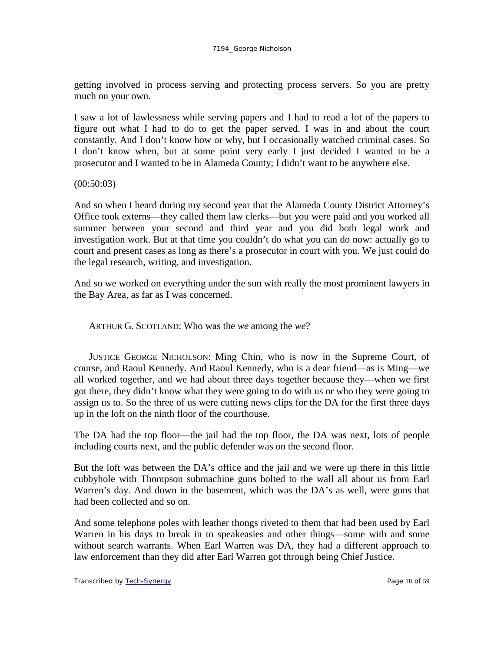getting involved in process serving and protecting process servers. So you are pretty much on your own.

I saw a lot of lawlessness while serving papers and I had to read a lot of the papers to figure out what I had to do to get the paper served. I was in and about the court constantly. And I don't know how or why, but I occasionally watched criminal cases. So I don't know when, but at some point very early I just decided I wanted to be a prosecutor and I wanted to be in Alameda County; I didn't want to be anywhere else.

### (00:50:03)

And so when I heard during my second year that the Alameda County District Attorney's Office took externs—they called them law clerks—but you were paid and you worked all summer between your second and third year and you did both legal work and investigation work. But at that time you couldn't do what you can do now: actually go to court and present cases as long as there's a prosecutor in court with you. We just could do the legal research, writing, and investigation.

And so we worked on everything under the sun with really the most prominent lawyers in the Bay Area, as far as I was concerned.

ARTHUR G. SCOTLAND: Who was the *we* among the *we*?

JUSTICE GEORGE NICHOLSON: Ming Chin, who is now in the Supreme Court, of course, and Raoul Kennedy. And Raoul Kennedy, who is a dear friend—as is Ming—we all worked together, and we had about three days together because they—when we first got there, they didn't know what they were going to do with us or who they were going to assign us to. So the three of us were cutting news clips for the DA for the first three days up in the loft on the ninth floor of the courthouse.

The DA had the top floor—the jail had the top floor, the DA was next, lots of people including courts next, and the public defender was on the second floor.

But the loft was between the DA's office and the jail and we were up there in this little cubbyhole with Thompson submachine guns bolted to the wall all about us from Earl Warren's day. And down in the basement, which was the DA's as well, were guns that had been collected and so on.

And some telephone poles with leather thongs riveted to them that had been used by Earl Warren in his days to break in to speakeasies and other things—some with and some without search warrants. When Earl Warren was DA, they had a different approach to law enforcement than they did after Earl Warren got through being Chief Justice.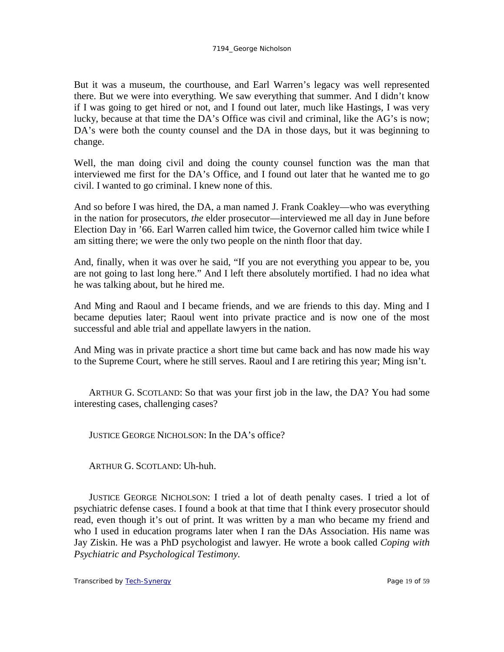But it was a museum, the courthouse, and Earl Warren's legacy was well represented there. But we were into everything. We saw everything that summer. And I didn't know if I was going to get hired or not, and I found out later, much like Hastings, I was very lucky, because at that time the DA's Office was civil and criminal, like the AG's is now; DA's were both the county counsel and the DA in those days, but it was beginning to change.

Well, the man doing civil and doing the county counsel function was the man that interviewed me first for the DA's Office, and I found out later that he wanted me to go civil. I wanted to go criminal. I knew none of this.

And so before I was hired, the DA, a man named J. Frank Coakley—who was everything in the nation for prosecutors, *the* elder prosecutor—interviewed me all day in June before Election Day in '66. Earl Warren called him twice, the Governor called him twice while I am sitting there; we were the only two people on the ninth floor that day.

And, finally, when it was over he said, "If you are not everything you appear to be, you are not going to last long here." And I left there absolutely mortified. I had no idea what he was talking about, but he hired me.

And Ming and Raoul and I became friends, and we are friends to this day. Ming and I became deputies later; Raoul went into private practice and is now one of the most successful and able trial and appellate lawyers in the nation.

And Ming was in private practice a short time but came back and has now made his way to the Supreme Court, where he still serves. Raoul and I are retiring this year; Ming isn't.

ARTHUR G. SCOTLAND: So that was your first job in the law, the DA? You had some interesting cases, challenging cases?

JUSTICE GEORGE NICHOLSON: In the DA's office?

ARTHUR G. SCOTLAND: Uh-huh.

JUSTICE GEORGE NICHOLSON: I tried a lot of death penalty cases. I tried a lot of psychiatric defense cases. I found a book at that time that I think every prosecutor should read, even though it's out of print. It was written by a man who became my friend and who I used in education programs later when I ran the DAs Association. His name was Jay Ziskin. He was a PhD psychologist and lawyer. He wrote a book called *Coping with Psychiatric and Psychological Testimony.*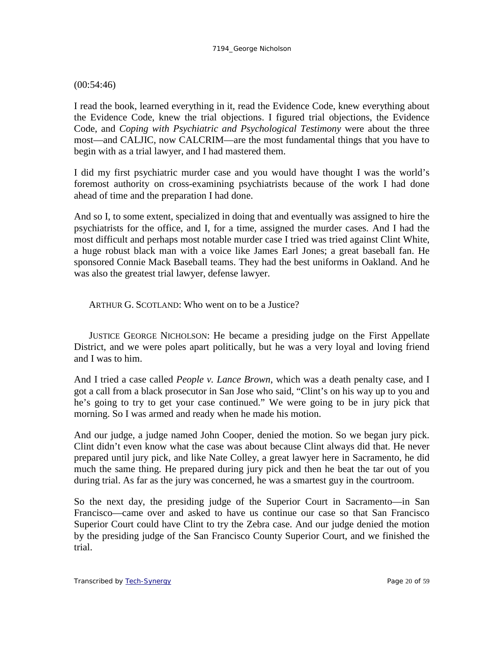## (00:54:46)

I read the book, learned everything in it, read the Evidence Code, knew everything about the Evidence Code, knew the trial objections. I figured trial objections, the Evidence Code, and *Coping with Psychiatric and Psychological Testimony* were about the three most—and CALJIC, now CALCRIM—are the most fundamental things that you have to begin with as a trial lawyer, and I had mastered them.

I did my first psychiatric murder case and you would have thought I was the world's foremost authority on cross-examining psychiatrists because of the work I had done ahead of time and the preparation I had done.

And so I, to some extent, specialized in doing that and eventually was assigned to hire the psychiatrists for the office, and I, for a time, assigned the murder cases. And I had the most difficult and perhaps most notable murder case I tried was tried against Clint White, a huge robust black man with a voice like James Earl Jones; a great baseball fan. He sponsored Connie Mack Baseball teams. They had the best uniforms in Oakland. And he was also the greatest trial lawyer, defense lawyer.

ARTHUR G. SCOTLAND: Who went on to be a Justice?

JUSTICE GEORGE NICHOLSON: He became a presiding judge on the First Appellate District, and we were poles apart politically, but he was a very loyal and loving friend and I was to him.

And I tried a case called *People v. Lance Brown*, which was a death penalty case, and I got a call from a black prosecutor in San Jose who said, "Clint's on his way up to you and he's going to try to get your case continued." We were going to be in jury pick that morning. So I was armed and ready when he made his motion.

And our judge, a judge named John Cooper, denied the motion. So we began jury pick. Clint didn't even know what the case was about because Clint always did that. He never prepared until jury pick, and like Nate Colley, a great lawyer here in Sacramento, he did much the same thing. He prepared during jury pick and then he beat the tar out of you during trial. As far as the jury was concerned, he was a smartest guy in the courtroom.

So the next day, the presiding judge of the Superior Court in Sacramento—in San Francisco—came over and asked to have us continue our case so that San Francisco Superior Court could have Clint to try the Zebra case. And our judge denied the motion by the presiding judge of the San Francisco County Superior Court, and we finished the trial.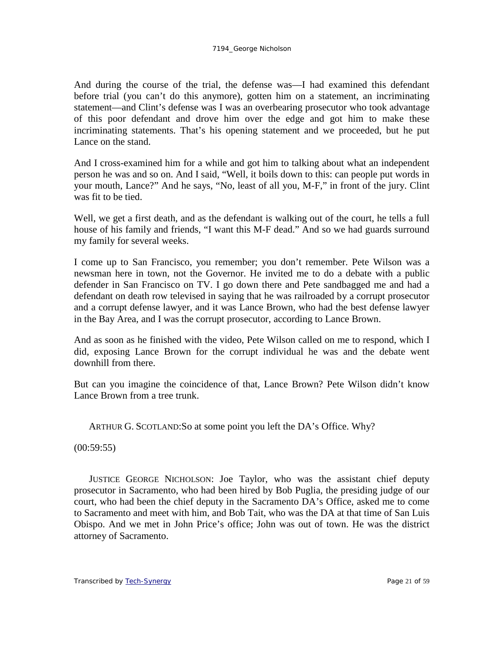And during the course of the trial, the defense was—I had examined this defendant before trial (you can't do this anymore), gotten him on a statement, an incriminating statement—and Clint's defense was I was an overbearing prosecutor who took advantage of this poor defendant and drove him over the edge and got him to make these incriminating statements. That's his opening statement and we proceeded, but he put Lance on the stand.

And I cross-examined him for a while and got him to talking about what an independent person he was and so on. And I said, "Well, it boils down to this: can people put words in your mouth, Lance?" And he says, "No, least of all you, M-F," in front of the jury. Clint was fit to be tied.

Well, we get a first death, and as the defendant is walking out of the court, he tells a full house of his family and friends, "I want this M-F dead." And so we had guards surround my family for several weeks.

I come up to San Francisco, you remember; you don't remember. Pete Wilson was a newsman here in town, not the Governor. He invited me to do a debate with a public defender in San Francisco on TV. I go down there and Pete sandbagged me and had a defendant on death row televised in saying that he was railroaded by a corrupt prosecutor and a corrupt defense lawyer, and it was Lance Brown, who had the best defense lawyer in the Bay Area, and I was the corrupt prosecutor, according to Lance Brown.

And as soon as he finished with the video, Pete Wilson called on me to respond, which I did, exposing Lance Brown for the corrupt individual he was and the debate went downhill from there.

But can you imagine the coincidence of that, Lance Brown? Pete Wilson didn't know Lance Brown from a tree trunk.

ARTHUR G. SCOTLAND:So at some point you left the DA's Office. Why?

 $(00:59:55)$ 

JUSTICE GEORGE NICHOLSON: Joe Taylor, who was the assistant chief deputy prosecutor in Sacramento, who had been hired by Bob Puglia, the presiding judge of our court, who had been the chief deputy in the Sacramento DA's Office, asked me to come to Sacramento and meet with him, and Bob Tait, who was the DA at that time of San Luis Obispo. And we met in John Price's office; John was out of town. He was the district attorney of Sacramento.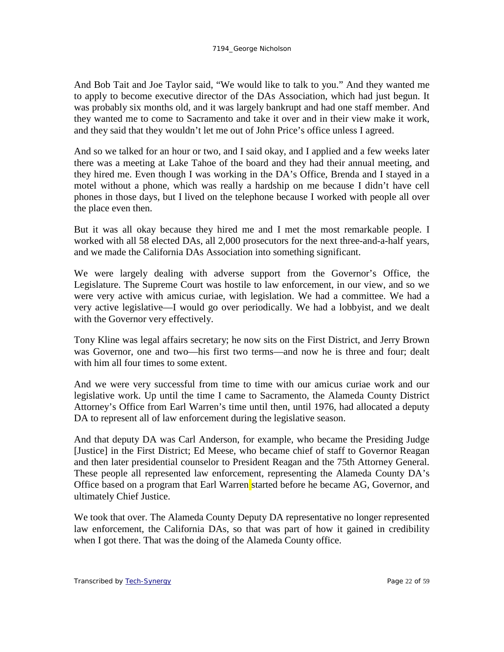And Bob Tait and Joe Taylor said, "We would like to talk to you." And they wanted me to apply to become executive director of the DAs Association, which had just begun. It was probably six months old, and it was largely bankrupt and had one staff member. And they wanted me to come to Sacramento and take it over and in their view make it work, and they said that they wouldn't let me out of John Price's office unless I agreed.

And so we talked for an hour or two, and I said okay, and I applied and a few weeks later there was a meeting at Lake Tahoe of the board and they had their annual meeting, and they hired me. Even though I was working in the DA's Office, Brenda and I stayed in a motel without a phone, which was really a hardship on me because I didn't have cell phones in those days, but I lived on the telephone because I worked with people all over the place even then.

But it was all okay because they hired me and I met the most remarkable people. I worked with all 58 elected DAs, all 2,000 prosecutors for the next three-and-a-half years, and we made the California DAs Association into something significant.

We were largely dealing with adverse support from the Governor's Office, the Legislature. The Supreme Court was hostile to law enforcement, in our view, and so we were very active with amicus curiae, with legislation. We had a committee. We had a very active legislative—I would go over periodically. We had a lobbyist, and we dealt with the Governor very effectively.

Tony Kline was legal affairs secretary; he now sits on the First District, and Jerry Brown was Governor, one and two—his first two terms—and now he is three and four; dealt with him all four times to some extent.

And we were very successful from time to time with our amicus curiae work and our legislative work. Up until the time I came to Sacramento, the Alameda County District Attorney's Office from Earl Warren's time until then, until 1976, had allocated a deputy DA to represent all of law enforcement during the legislative season.

And that deputy DA was Carl Anderson, for example, who became the Presiding Judge [Justice] in the First District; Ed Meese, who became chief of staff to Governor Reagan and then later presidential counselor to President Reagan and the 75th Attorney General. These people all represented law enforcement, representing the Alameda County DA's Office based on a program that Earl Warren started before he became AG, Governor, and ultimately Chief Justice.

We took that over. The Alameda County Deputy DA representative no longer represented law enforcement, the California DAs, so that was part of how it gained in credibility when I got there. That was the doing of the Alameda County office.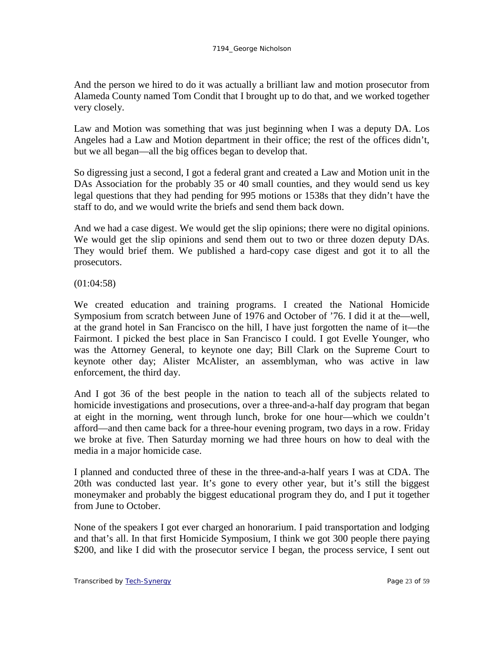And the person we hired to do it was actually a brilliant law and motion prosecutor from Alameda County named Tom Condit that I brought up to do that, and we worked together very closely.

Law and Motion was something that was just beginning when I was a deputy DA. Los Angeles had a Law and Motion department in their office; the rest of the offices didn't, but we all began—all the big offices began to develop that.

So digressing just a second, I got a federal grant and created a Law and Motion unit in the DAs Association for the probably 35 or 40 small counties, and they would send us key legal questions that they had pending for 995 motions or 1538s that they didn't have the staff to do, and we would write the briefs and send them back down.

And we had a case digest. We would get the slip opinions; there were no digital opinions. We would get the slip opinions and send them out to two or three dozen deputy DAs. They would brief them. We published a hard-copy case digest and got it to all the prosecutors.

(01:04:58)

We created education and training programs. I created the National Homicide Symposium from scratch between June of 1976 and October of '76. I did it at the—well, at the grand hotel in San Francisco on the hill, I have just forgotten the name of it—the Fairmont. I picked the best place in San Francisco I could. I got Evelle Younger, who was the Attorney General, to keynote one day; Bill Clark on the Supreme Court to keynote other day; Alister McAlister, an assemblyman, who was active in law enforcement, the third day.

And I got 36 of the best people in the nation to teach all of the subjects related to homicide investigations and prosecutions, over a three-and-a-half day program that began at eight in the morning, went through lunch, broke for one hour—which we couldn't afford—and then came back for a three-hour evening program, two days in a row. Friday we broke at five. Then Saturday morning we had three hours on how to deal with the media in a major homicide case.

I planned and conducted three of these in the three-and-a-half years I was at CDA. The 20th was conducted last year. It's gone to every other year, but it's still the biggest moneymaker and probably the biggest educational program they do, and I put it together from June to October.

None of the speakers I got ever charged an honorarium. I paid transportation and lodging and that's all. In that first Homicide Symposium, I think we got 300 people there paying \$200, and like I did with the prosecutor service I began, the process service, I sent out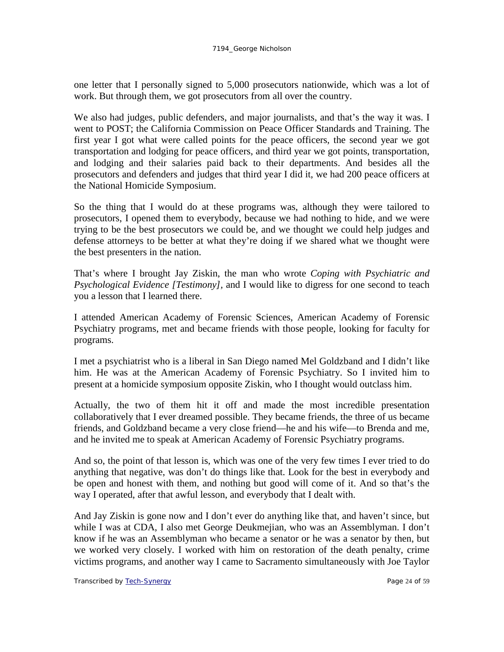one letter that I personally signed to 5,000 prosecutors nationwide, which was a lot of work. But through them, we got prosecutors from all over the country.

We also had judges, public defenders, and major journalists, and that's the way it was. I went to POST; the California Commission on Peace Officer Standards and Training. The first year I got what were called points for the peace officers, the second year we got transportation and lodging for peace officers, and third year we got points, transportation, and lodging and their salaries paid back to their departments. And besides all the prosecutors and defenders and judges that third year I did it, we had 200 peace officers at the National Homicide Symposium.

So the thing that I would do at these programs was, although they were tailored to prosecutors, I opened them to everybody, because we had nothing to hide, and we were trying to be the best prosecutors we could be, and we thought we could help judges and defense attorneys to be better at what they're doing if we shared what we thought were the best presenters in the nation.

That's where I brought Jay Ziskin, the man who wrote *Coping with Psychiatric and Psychological Evidence [Testimony],* and I would like to digress for one second to teach you a lesson that I learned there.

I attended American Academy of Forensic Sciences, American Academy of Forensic Psychiatry programs, met and became friends with those people, looking for faculty for programs.

I met a psychiatrist who is a liberal in San Diego named Mel Goldzband and I didn't like him. He was at the American Academy of Forensic Psychiatry. So I invited him to present at a homicide symposium opposite Ziskin, who I thought would outclass him.

Actually, the two of them hit it off and made the most incredible presentation collaboratively that I ever dreamed possible. They became friends, the three of us became friends, and Goldzband became a very close friend—he and his wife—to Brenda and me, and he invited me to speak at American Academy of Forensic Psychiatry programs.

And so, the point of that lesson is, which was one of the very few times I ever tried to do anything that negative, was don't do things like that. Look for the best in everybody and be open and honest with them, and nothing but good will come of it. And so that's the way I operated, after that awful lesson, and everybody that I dealt with.

And Jay Ziskin is gone now and I don't ever do anything like that, and haven't since, but while I was at CDA, I also met George Deukmejian, who was an Assemblyman. I don't know if he was an Assemblyman who became a senator or he was a senator by then, but we worked very closely. I worked with him on restoration of the death penalty, crime victims programs, and another way I came to Sacramento simultaneously with Joe Taylor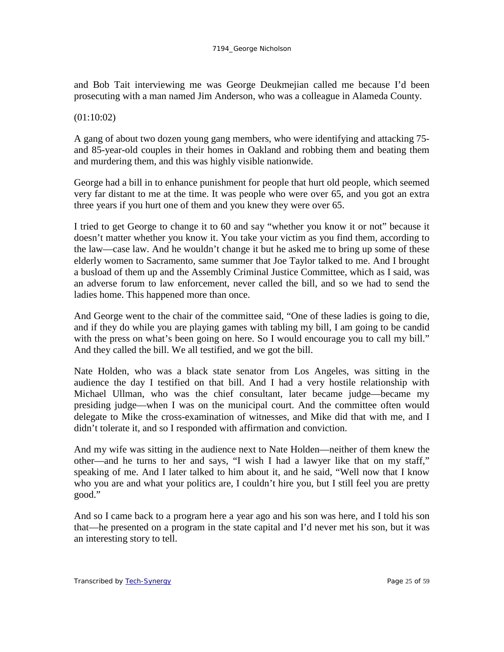and Bob Tait interviewing me was George Deukmejian called me because I'd been prosecuting with a man named Jim Anderson, who was a colleague in Alameda County.

## (01:10:02)

A gang of about two dozen young gang members, who were identifying and attacking 75 and 85-year-old couples in their homes in Oakland and robbing them and beating them and murdering them, and this was highly visible nationwide.

George had a bill in to enhance punishment for people that hurt old people, which seemed very far distant to me at the time. It was people who were over 65, and you got an extra three years if you hurt one of them and you knew they were over 65.

I tried to get George to change it to 60 and say "whether you know it or not" because it doesn't matter whether you know it. You take your victim as you find them, according to the law—case law. And he wouldn't change it but he asked me to bring up some of these elderly women to Sacramento, same summer that Joe Taylor talked to me. And I brought a busload of them up and the Assembly Criminal Justice Committee, which as I said, was an adverse forum to law enforcement, never called the bill, and so we had to send the ladies home. This happened more than once.

And George went to the chair of the committee said, "One of these ladies is going to die, and if they do while you are playing games with tabling my bill, I am going to be candid with the press on what's been going on here. So I would encourage you to call my bill." And they called the bill. We all testified, and we got the bill.

Nate Holden, who was a black state senator from Los Angeles, was sitting in the audience the day I testified on that bill. And I had a very hostile relationship with Michael Ullman, who was the chief consultant, later became judge—became my presiding judge—when I was on the municipal court. And the committee often would delegate to Mike the cross-examination of witnesses, and Mike did that with me, and I didn't tolerate it, and so I responded with affirmation and conviction.

And my wife was sitting in the audience next to Nate Holden—neither of them knew the other—and he turns to her and says, "I wish I had a lawyer like that on my staff," speaking of me. And I later talked to him about it, and he said, "Well now that I know who you are and what your politics are, I couldn't hire you, but I still feel you are pretty good."

And so I came back to a program here a year ago and his son was here, and I told his son that—he presented on a program in the state capital and I'd never met his son, but it was an interesting story to tell.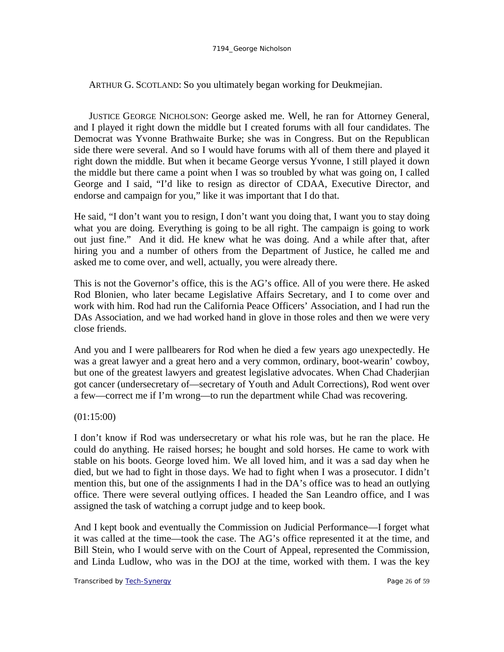ARTHUR G. SCOTLAND: So you ultimately began working for Deukmejian.

JUSTICE GEORGE NICHOLSON: George asked me. Well, he ran for Attorney General, and I played it right down the middle but I created forums with all four candidates. The Democrat was Yvonne Brathwaite Burke; she was in Congress. But on the Republican side there were several. And so I would have forums with all of them there and played it right down the middle. But when it became George versus Yvonne, I still played it down the middle but there came a point when I was so troubled by what was going on, I called George and I said, "I'd like to resign as director of CDAA, Executive Director, and endorse and campaign for you," like it was important that I do that.

He said, "I don't want you to resign, I don't want you doing that, I want you to stay doing what you are doing. Everything is going to be all right. The campaign is going to work out just fine." And it did. He knew what he was doing. And a while after that, after hiring you and a number of others from the Department of Justice, he called me and asked me to come over, and well, actually, you were already there.

This is not the Governor's office, this is the AG's office. All of you were there. He asked Rod Blonien, who later became Legislative Affairs Secretary, and I to come over and work with him. Rod had run the California Peace Officers' Association, and I had run the DAs Association, and we had worked hand in glove in those roles and then we were very close friends.

And you and I were pallbearers for Rod when he died a few years ago unexpectedly. He was a great lawyer and a great hero and a very common, ordinary, boot-wearin' cowboy, but one of the greatest lawyers and greatest legislative advocates. When Chad Chaderjian got cancer (undersecretary of—secretary of Youth and Adult Corrections), Rod went over a few—correct me if I'm wrong—to run the department while Chad was recovering.

(01:15:00)

I don't know if Rod was undersecretary or what his role was, but he ran the place. He could do anything. He raised horses; he bought and sold horses. He came to work with stable on his boots. George loved him. We all loved him, and it was a sad day when he died, but we had to fight in those days. We had to fight when I was a prosecutor. I didn't mention this, but one of the assignments I had in the DA's office was to head an outlying office. There were several outlying offices. I headed the San Leandro office, and I was assigned the task of watching a corrupt judge and to keep book.

And I kept book and eventually the Commission on Judicial Performance—I forget what it was called at the time—took the case. The AG's office represented it at the time, and Bill Stein, who I would serve with on the Court of Appeal, represented the Commission, and Linda Ludlow, who was in the DOJ at the time, worked with them. I was the key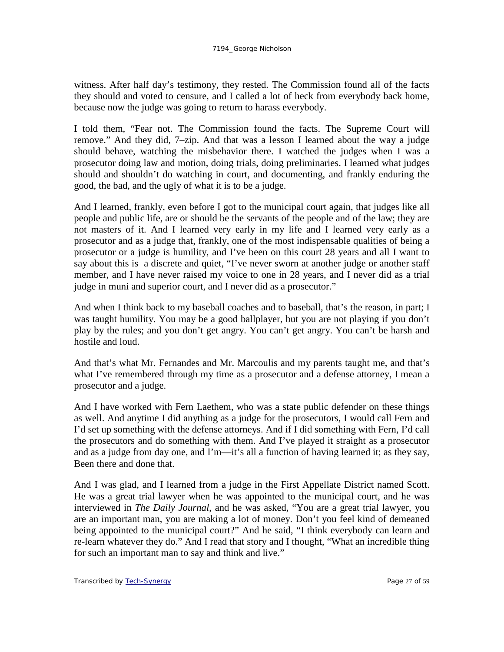witness. After half day's testimony, they rested. The Commission found all of the facts they should and voted to censure, and I called a lot of heck from everybody back home, because now the judge was going to return to harass everybody.

I told them, "Fear not. The Commission found the facts. The Supreme Court will remove." And they did, 7–zip. And that was a lesson I learned about the way a judge should behave, watching the misbehavior there. I watched the judges when I was a prosecutor doing law and motion, doing trials, doing preliminaries. I learned what judges should and shouldn't do watching in court, and documenting, and frankly enduring the good, the bad, and the ugly of what it is to be a judge.

And I learned, frankly, even before I got to the municipal court again, that judges like all people and public life, are or should be the servants of the people and of the law; they are not masters of it. And I learned very early in my life and I learned very early as a prosecutor and as a judge that, frankly, one of the most indispensable qualities of being a prosecutor or a judge is humility, and I've been on this court 28 years and all I want to say about this is a discrete and quiet, "I've never sworn at another judge or another staff member, and I have never raised my voice to one in 28 years, and I never did as a trial judge in muni and superior court, and I never did as a prosecutor."

And when I think back to my baseball coaches and to baseball, that's the reason, in part; I was taught humility. You may be a good ballplayer, but you are not playing if you don't play by the rules; and you don't get angry. You can't get angry. You can't be harsh and hostile and loud.

And that's what Mr. Fernandes and Mr. Marcoulis and my parents taught me, and that's what I've remembered through my time as a prosecutor and a defense attorney, I mean a prosecutor and a judge.

And I have worked with Fern Laethem, who was a state public defender on these things as well. And anytime I did anything as a judge for the prosecutors, I would call Fern and I'd set up something with the defense attorneys. And if I did something with Fern, I'd call the prosecutors and do something with them. And I've played it straight as a prosecutor and as a judge from day one, and I'm—it's all a function of having learned it; as they say, Been there and done that.

And I was glad, and I learned from a judge in the First Appellate District named Scott. He was a great trial lawyer when he was appointed to the municipal court, and he was interviewed in *The Daily Journal*, and he was asked, "You are a great trial lawyer, you are an important man, you are making a lot of money. Don't you feel kind of demeaned being appointed to the municipal court?" And he said, "I think everybody can learn and re-learn whatever they do." And I read that story and I thought, "What an incredible thing for such an important man to say and think and live."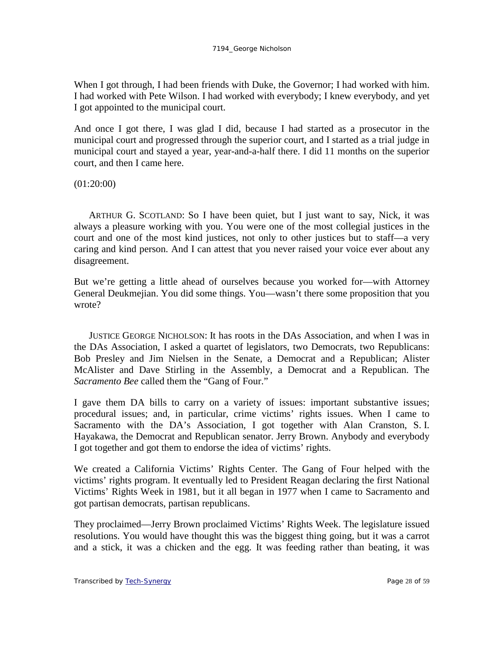When I got through, I had been friends with Duke, the Governor; I had worked with him. I had worked with Pete Wilson. I had worked with everybody; I knew everybody, and yet I got appointed to the municipal court.

And once I got there, I was glad I did, because I had started as a prosecutor in the municipal court and progressed through the superior court, and I started as a trial judge in municipal court and stayed a year, year-and-a-half there. I did 11 months on the superior court, and then I came here.

(01:20:00)

ARTHUR G. SCOTLAND: So I have been quiet, but I just want to say, Nick, it was always a pleasure working with you. You were one of the most collegial justices in the court and one of the most kind justices, not only to other justices but to staff—a very caring and kind person. And I can attest that you never raised your voice ever about any disagreement.

But we're getting a little ahead of ourselves because you worked for—with Attorney General Deukmejian. You did some things. You—wasn't there some proposition that you wrote?

JUSTICE GEORGE NICHOLSON: It has roots in the DAs Association, and when I was in the DAs Association, I asked a quartet of legislators, two Democrats, two Republicans: Bob Presley and Jim Nielsen in the Senate, a Democrat and a Republican; Alister McAlister and Dave Stirling in the Assembly, a Democrat and a Republican. The *Sacramento Bee* called them the "Gang of Four."

I gave them DA bills to carry on a variety of issues: important substantive issues; procedural issues; and, in particular, crime victims' rights issues. When I came to Sacramento with the DA's Association, I got together with Alan Cranston, S. I. Hayakawa, the Democrat and Republican senator. Jerry Brown. Anybody and everybody I got together and got them to endorse the idea of victims' rights.

We created a California Victims' Rights Center. The Gang of Four helped with the victims' rights program. It eventually led to President Reagan declaring the first National Victims' Rights Week in 1981, but it all began in 1977 when I came to Sacramento and got partisan democrats, partisan republicans.

They proclaimed—Jerry Brown proclaimed Victims' Rights Week. The legislature issued resolutions. You would have thought this was the biggest thing going, but it was a carrot and a stick, it was a chicken and the egg. It was feeding rather than beating, it was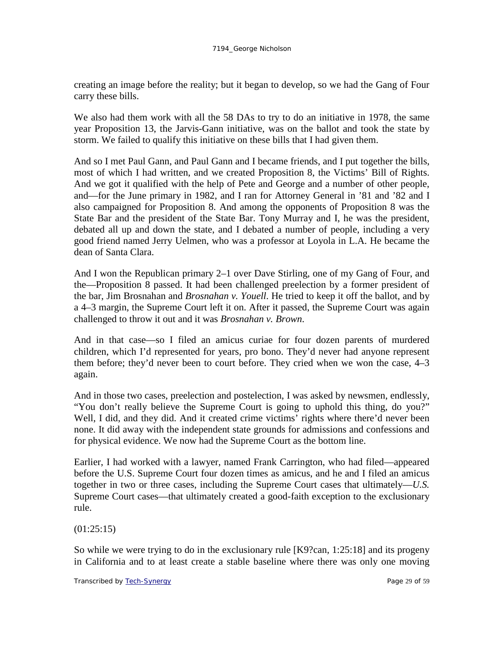creating an image before the reality; but it began to develop, so we had the Gang of Four carry these bills.

We also had them work with all the 58 DAs to try to do an initiative in 1978, the same year Proposition 13, the Jarvis-Gann initiative, was on the ballot and took the state by storm. We failed to qualify this initiative on these bills that I had given them.

And so I met Paul Gann, and Paul Gann and I became friends, and I put together the bills, most of which I had written, and we created Proposition 8, the Victims' Bill of Rights. And we got it qualified with the help of Pete and George and a number of other people, and—for the June primary in 1982, and I ran for Attorney General in '81 and '82 and I also campaigned for Proposition 8. And among the opponents of Proposition 8 was the State Bar and the president of the State Bar. Tony Murray and I, he was the president, debated all up and down the state, and I debated a number of people, including a very good friend named Jerry Uelmen, who was a professor at Loyola in L.A. He became the dean of Santa Clara.

And I won the Republican primary 2–1 over Dave Stirling, one of my Gang of Four, and the—Proposition 8 passed. It had been challenged preelection by a former president of the bar, Jim Brosnahan and *Brosnahan v. Youell*. He tried to keep it off the ballot, and by a 4–3 margin, the Supreme Court left it on. After it passed, the Supreme Court was again challenged to throw it out and it was *Brosnahan v. Brown*.

And in that case—so I filed an amicus curiae for four dozen parents of murdered children, which I'd represented for years, pro bono. They'd never had anyone represent them before; they'd never been to court before. They cried when we won the case, 4–3 again.

And in those two cases, preelection and postelection, I was asked by newsmen, endlessly, "You don't really believe the Supreme Court is going to uphold this thing, do you?" Well, I did, and they did. And it created crime victims' rights where there'd never been none. It did away with the independent state grounds for admissions and confessions and for physical evidence. We now had the Supreme Court as the bottom line.

Earlier, I had worked with a lawyer, named Frank Carrington, who had filed—appeared before the U.S. Supreme Court four dozen times as amicus, and he and I filed an amicus together in two or three cases, including the Supreme Court cases that ultimately—*U.S.* Supreme Court cases—that ultimately created a good-faith exception to the exclusionary rule.

(01:25:15)

So while we were trying to do in the exclusionary rule [K9?can, 1:25:18] and its progeny in California and to at least create a stable baseline where there was only one moving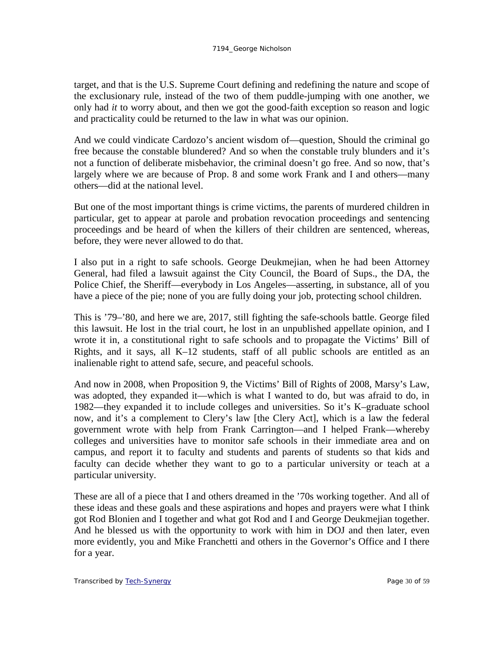target, and that is the U.S. Supreme Court defining and redefining the nature and scope of the exclusionary rule, instead of the two of them puddle-jumping with one another, we only had *it* to worry about, and then we got the good-faith exception so reason and logic and practicality could be returned to the law in what was our opinion.

And we could vindicate Cardozo's ancient wisdom of—question, Should the criminal go free because the constable blundered? And so when the constable truly blunders and it's not a function of deliberate misbehavior, the criminal doesn't go free. And so now, that's largely where we are because of Prop. 8 and some work Frank and I and others—many others—did at the national level.

But one of the most important things is crime victims, the parents of murdered children in particular, get to appear at parole and probation revocation proceedings and sentencing proceedings and be heard of when the killers of their children are sentenced, whereas, before, they were never allowed to do that.

I also put in a right to safe schools. George Deukmejian, when he had been Attorney General, had filed a lawsuit against the City Council, the Board of Sups., the DA, the Police Chief, the Sheriff—everybody in Los Angeles—asserting, in substance, all of you have a piece of the pie; none of you are fully doing your job, protecting school children.

This is '79–'80, and here we are, 2017, still fighting the safe-schools battle. George filed this lawsuit. He lost in the trial court, he lost in an unpublished appellate opinion, and I wrote it in, a constitutional right to safe schools and to propagate the Victims' Bill of Rights, and it says, all K–12 students, staff of all public schools are entitled as an inalienable right to attend safe, secure, and peaceful schools.

And now in 2008, when Proposition 9, the Victims' Bill of Rights of 2008, Marsy's Law, was adopted, they expanded it—which is what I wanted to do, but was afraid to do, in 1982—they expanded it to include colleges and universities. So it's K–graduate school now, and it's a complement to Clery's law [the Clery Act], which is a law the federal government wrote with help from Frank Carrington—and I helped Frank—whereby colleges and universities have to monitor safe schools in their immediate area and on campus, and report it to faculty and students and parents of students so that kids and faculty can decide whether they want to go to a particular university or teach at a particular university.

These are all of a piece that I and others dreamed in the '70s working together. And all of these ideas and these goals and these aspirations and hopes and prayers were what I think got Rod Blonien and I together and what got Rod and I and George Deukmejian together. And he blessed us with the opportunity to work with him in DOJ and then later, even more evidently, you and Mike Franchetti and others in the Governor's Office and I there for a year.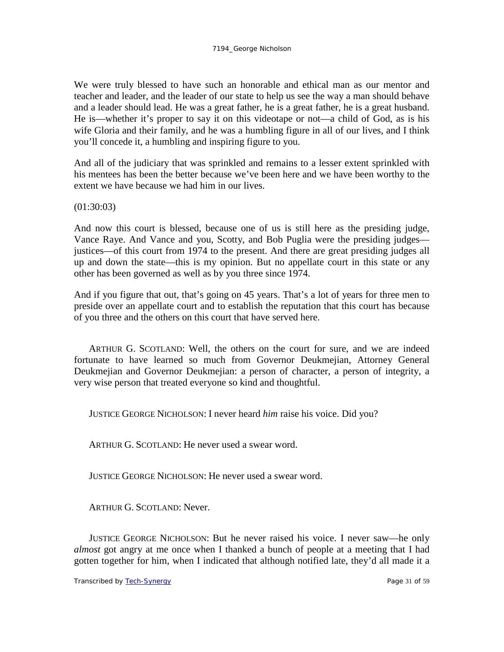We were truly blessed to have such an honorable and ethical man as our mentor and teacher and leader, and the leader of our state to help us see the way a man should behave and a leader should lead. He was a great father, he is a great father, he is a great husband. He is—whether it's proper to say it on this videotape or not—a child of God, as is his wife Gloria and their family, and he was a humbling figure in all of our lives, and I think you'll concede it, a humbling and inspiring figure to you.

And all of the judiciary that was sprinkled and remains to a lesser extent sprinkled with his mentees has been the better because we've been here and we have been worthy to the extent we have because we had him in our lives.

(01:30:03)

And now this court is blessed, because one of us is still here as the presiding judge, Vance Raye. And Vance and you, Scotty, and Bob Puglia were the presiding judges justices—of this court from 1974 to the present. And there are great presiding judges all up and down the state—this is my opinion. But no appellate court in this state or any other has been governed as well as by you three since 1974.

And if you figure that out, that's going on 45 years. That's a lot of years for three men to preside over an appellate court and to establish the reputation that this court has because of you three and the others on this court that have served here.

ARTHUR G. SCOTLAND: Well, the others on the court for sure, and we are indeed fortunate to have learned so much from Governor Deukmejian, Attorney General Deukmejian and Governor Deukmejian: a person of character, a person of integrity, a very wise person that treated everyone so kind and thoughtful.

JUSTICE GEORGE NICHOLSON: I never heard *him* raise his voice. Did you?

ARTHUR G. SCOTLAND: He never used a swear word.

JUSTICE GEORGE NICHOLSON: He never used a swear word.

ARTHUR G. SCOTLAND: Never.

JUSTICE GEORGE NICHOLSON: But he never raised his voice. I never saw—he only *almost* got angry at me once when I thanked a bunch of people at a meeting that I had gotten together for him, when I indicated that although notified late, they'd all made it a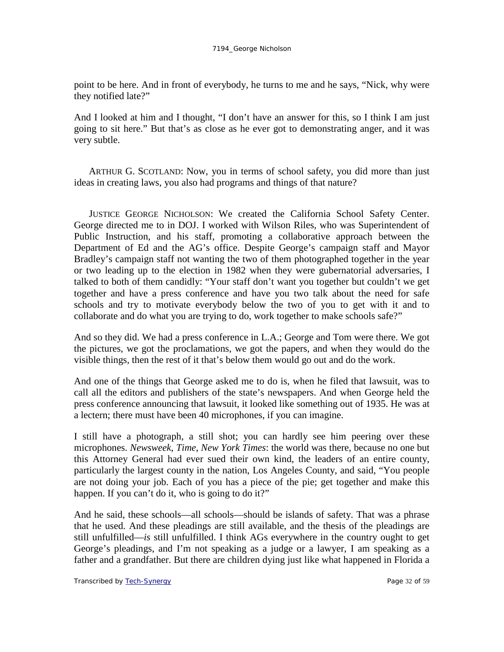point to be here. And in front of everybody, he turns to me and he says, "Nick, why were they notified late?"

And I looked at him and I thought, "I don't have an answer for this, so I think I am just going to sit here." But that's as close as he ever got to demonstrating anger, and it was very subtle.

ARTHUR G. SCOTLAND: Now, you in terms of school safety, you did more than just ideas in creating laws, you also had programs and things of that nature?

JUSTICE GEORGE NICHOLSON: We created the California School Safety Center. George directed me to in DOJ. I worked with Wilson Riles, who was Superintendent of Public Instruction, and his staff, promoting a collaborative approach between the Department of Ed and the AG's office. Despite George's campaign staff and Mayor Bradley's campaign staff not wanting the two of them photographed together in the year or two leading up to the election in 1982 when they were gubernatorial adversaries, I talked to both of them candidly: "Your staff don't want you together but couldn't we get together and have a press conference and have you two talk about the need for safe schools and try to motivate everybody below the two of you to get with it and to collaborate and do what you are trying to do, work together to make schools safe?"

And so they did. We had a press conference in L.A.; George and Tom were there. We got the pictures, we got the proclamations, we got the papers, and when they would do the visible things, then the rest of it that's below them would go out and do the work.

And one of the things that George asked me to do is, when he filed that lawsuit, was to call all the editors and publishers of the state's newspapers. And when George held the press conference announcing that lawsuit, it looked like something out of 1935. He was at a lectern; there must have been 40 microphones, if you can imagine.

I still have a photograph, a still shot; you can hardly see him peering over these microphones. *Newsweek*, *Time*, *New York Times*: the world was there, because no one but this Attorney General had ever sued their own kind, the leaders of an entire county, particularly the largest county in the nation, Los Angeles County, and said, "You people are not doing your job. Each of you has a piece of the pie; get together and make this happen. If you can't do it, who is going to do it?"

And he said, these schools—all schools—should be islands of safety. That was a phrase that he used. And these pleadings are still available, and the thesis of the pleadings are still unfulfilled—*is* still unfulfilled. I think AGs everywhere in the country ought to get George's pleadings, and I'm not speaking as a judge or a lawyer, I am speaking as a father and a grandfather. But there are children dying just like what happened in Florida a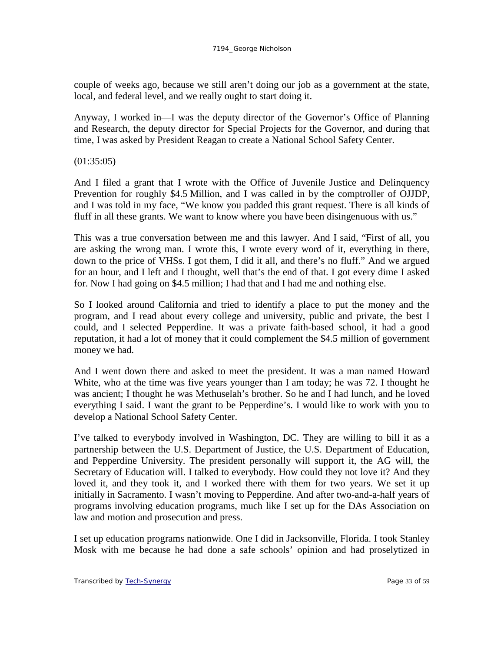couple of weeks ago, because we still aren't doing our job as a government at the state, local, and federal level, and we really ought to start doing it.

Anyway, I worked in—I was the deputy director of the Governor's Office of Planning and Research, the deputy director for Special Projects for the Governor, and during that time, I was asked by President Reagan to create a National School Safety Center.

(01:35:05)

And I filed a grant that I wrote with the Office of Juvenile Justice and Delinquency Prevention for roughly \$4.5 Million, and I was called in by the comptroller of OJJDP, and I was told in my face, "We know you padded this grant request. There is all kinds of fluff in all these grants. We want to know where you have been disingenuous with us."

This was a true conversation between me and this lawyer. And I said, "First of all, you are asking the wrong man. I wrote this, I wrote every word of it, everything in there, down to the price of VHSs. I got them, I did it all, and there's no fluff." And we argued for an hour, and I left and I thought, well that's the end of that. I got every dime I asked for. Now I had going on \$4.5 million; I had that and I had me and nothing else.

So I looked around California and tried to identify a place to put the money and the program, and I read about every college and university, public and private, the best I could, and I selected Pepperdine. It was a private faith-based school, it had a good reputation, it had a lot of money that it could complement the \$4.5 million of government money we had.

And I went down there and asked to meet the president. It was a man named Howard White, who at the time was five years younger than I am today; he was 72. I thought he was ancient; I thought he was Methuselah's brother. So he and I had lunch, and he loved everything I said. I want the grant to be Pepperdine's. I would like to work with you to develop a National School Safety Center.

I've talked to everybody involved in Washington, DC. They are willing to bill it as a partnership between the U.S. Department of Justice, the U.S. Department of Education, and Pepperdine University. The president personally will support it, the AG will, the Secretary of Education will. I talked to everybody. How could they not love it? And they loved it, and they took it, and I worked there with them for two years. We set it up initially in Sacramento. I wasn't moving to Pepperdine. And after two-and-a-half years of programs involving education programs, much like I set up for the DAs Association on law and motion and prosecution and press.

I set up education programs nationwide. One I did in Jacksonville, Florida. I took Stanley Mosk with me because he had done a safe schools' opinion and had proselytized in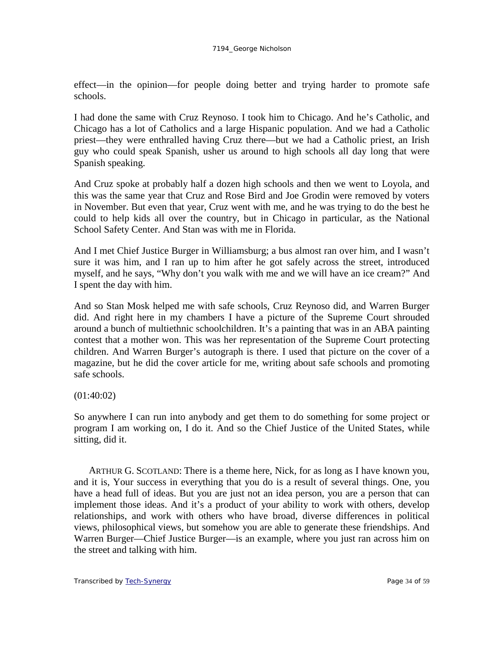effect—in the opinion—for people doing better and trying harder to promote safe schools.

I had done the same with Cruz Reynoso. I took him to Chicago. And he's Catholic, and Chicago has a lot of Catholics and a large Hispanic population. And we had a Catholic priest—they were enthralled having Cruz there—but we had a Catholic priest, an Irish guy who could speak Spanish, usher us around to high schools all day long that were Spanish speaking.

And Cruz spoke at probably half a dozen high schools and then we went to Loyola, and this was the same year that Cruz and Rose Bird and Joe Grodin were removed by voters in November. But even that year, Cruz went with me, and he was trying to do the best he could to help kids all over the country, but in Chicago in particular, as the National School Safety Center. And Stan was with me in Florida.

And I met Chief Justice Burger in Williamsburg; a bus almost ran over him, and I wasn't sure it was him, and I ran up to him after he got safely across the street, introduced myself, and he says, "Why don't you walk with me and we will have an ice cream?" And I spent the day with him.

And so Stan Mosk helped me with safe schools, Cruz Reynoso did, and Warren Burger did. And right here in my chambers I have a picture of the Supreme Court shrouded around a bunch of multiethnic schoolchildren. It's a painting that was in an ABA painting contest that a mother won. This was her representation of the Supreme Court protecting children. And Warren Burger's autograph is there. I used that picture on the cover of a magazine, but he did the cover article for me, writing about safe schools and promoting safe schools.

(01:40:02)

So anywhere I can run into anybody and get them to do something for some project or program I am working on, I do it. And so the Chief Justice of the United States, while sitting, did it.

ARTHUR G. SCOTLAND: There is a theme here, Nick, for as long as I have known you, and it is, Your success in everything that you do is a result of several things. One, you have a head full of ideas. But you are just not an idea person, you are a person that can implement those ideas. And it's a product of your ability to work with others, develop relationships, and work with others who have broad, diverse differences in political views, philosophical views, but somehow you are able to generate these friendships. And Warren Burger—Chief Justice Burger—is an example, where you just ran across him on the street and talking with him.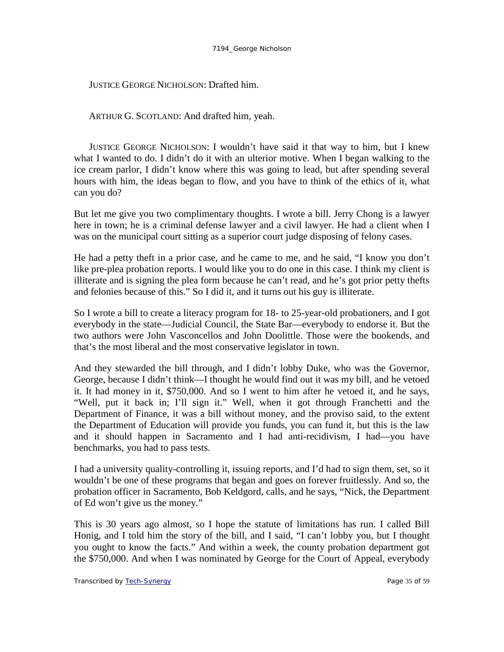JUSTICE GEORGE NICHOLSON: Drafted him.

ARTHUR G. SCOTLAND: And drafted him, yeah.

JUSTICE GEORGE NICHOLSON: I wouldn't have said it that way to him, but I knew what I wanted to do. I didn't do it with an ulterior motive. When I began walking to the ice cream parlor, I didn't know where this was going to lead, but after spending several hours with him, the ideas began to flow, and you have to think of the ethics of it, what can you do?

But let me give you two complimentary thoughts. I wrote a bill. Jerry Chong is a lawyer here in town; he is a criminal defense lawyer and a civil lawyer. He had a client when I was on the municipal court sitting as a superior court judge disposing of felony cases.

He had a petty theft in a prior case, and he came to me, and he said, "I know you don't like pre-plea probation reports. I would like you to do one in this case. I think my client is illiterate and is signing the plea form because he can't read, and he's got prior petty thefts and felonies because of this." So I did it, and it turns out his guy is illiterate.

So I wrote a bill to create a literacy program for 18- to 25-year-old probationers, and I got everybody in the state—Judicial Council, the State Bar—everybody to endorse it. But the two authors were John Vasconcellos and John Doolittle. Those were the bookends, and that's the most liberal and the most conservative legislator in town.

And they stewarded the bill through, and I didn't lobby Duke, who was the Governor, George, because I didn't think—I thought he would find out it was my bill, and he vetoed it. It had money in it, \$750,000. And so I went to him after he vetoed it, and he says, "Well, put it back in; I'll sign it." Well, when it got through Franchetti and the Department of Finance, it was a bill without money, and the proviso said, to the extent the Department of Education will provide you funds, you can fund it, but this is the law and it should happen in Sacramento and I had anti-recidivism, I had—you have benchmarks, you had to pass tests.

I had a university quality-controlling it, issuing reports, and I'd had to sign them, set, so it wouldn't be one of these programs that began and goes on forever fruitlessly. And so, the probation officer in Sacramento, Bob Keldgord, calls, and he says, "Nick, the Department of Ed won't give us the money."

This is 30 years ago almost, so I hope the statute of limitations has run. I called Bill Honig, and I told him the story of the bill, and I said, "I can't lobby you, but I thought you ought to know the facts." And within a week, the county probation department got the \$750,000. And when I was nominated by George for the Court of Appeal, everybody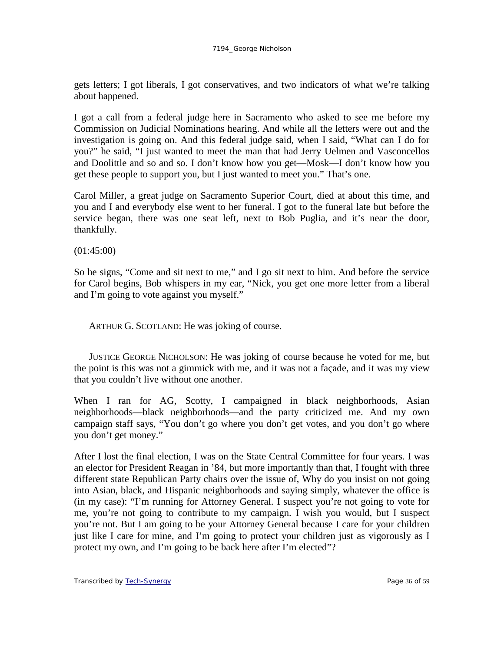gets letters; I got liberals, I got conservatives, and two indicators of what we're talking about happened.

I got a call from a federal judge here in Sacramento who asked to see me before my Commission on Judicial Nominations hearing. And while all the letters were out and the investigation is going on. And this federal judge said, when I said, "What can I do for you?" he said, "I just wanted to meet the man that had Jerry Uelmen and Vasconcellos and Doolittle and so and so. I don't know how you get—Mosk—I don't know how you get these people to support you, but I just wanted to meet you." That's one.

Carol Miller, a great judge on Sacramento Superior Court, died at about this time, and you and I and everybody else went to her funeral. I got to the funeral late but before the service began, there was one seat left, next to Bob Puglia, and it's near the door, thankfully.

(01:45:00)

So he signs, "Come and sit next to me," and I go sit next to him. And before the service for Carol begins, Bob whispers in my ear, "Nick, you get one more letter from a liberal and I'm going to vote against you myself."

ARTHUR G. SCOTLAND: He was joking of course.

JUSTICE GEORGE NICHOLSON: He was joking of course because he voted for me, but the point is this was not a gimmick with me, and it was not a façade, and it was my view that you couldn't live without one another.

When I ran for AG, Scotty, I campaigned in black neighborhoods, Asian neighborhoods—black neighborhoods—and the party criticized me. And my own campaign staff says, "You don't go where you don't get votes, and you don't go where you don't get money."

After I lost the final election, I was on the State Central Committee for four years. I was an elector for President Reagan in '84, but more importantly than that, I fought with three different state Republican Party chairs over the issue of, Why do you insist on not going into Asian, black, and Hispanic neighborhoods and saying simply, whatever the office is (in my case): "I'm running for Attorney General. I suspect you're not going to vote for me, you're not going to contribute to my campaign. I wish you would, but I suspect you're not. But I am going to be your Attorney General because I care for your children just like I care for mine, and I'm going to protect your children just as vigorously as I protect my own, and I'm going to be back here after I'm elected"?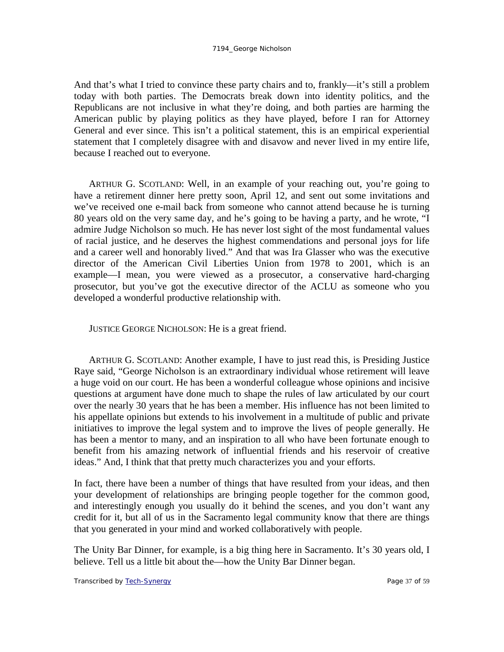And that's what I tried to convince these party chairs and to, frankly—it's still a problem today with both parties. The Democrats break down into identity politics, and the Republicans are not inclusive in what they're doing, and both parties are harming the American public by playing politics as they have played, before I ran for Attorney General and ever since. This isn't a political statement, this is an empirical experiential statement that I completely disagree with and disavow and never lived in my entire life, because I reached out to everyone.

ARTHUR G. SCOTLAND: Well, in an example of your reaching out, you're going to have a retirement dinner here pretty soon, April 12, and sent out some invitations and we've received one e-mail back from someone who cannot attend because he is turning 80 years old on the very same day, and he's going to be having a party, and he wrote, "I admire Judge Nicholson so much. He has never lost sight of the most fundamental values of racial justice, and he deserves the highest commendations and personal joys for life and a career well and honorably lived." And that was Ira Glasser who was the executive director of the American Civil Liberties Union from 1978 to 2001, which is an example—I mean, you were viewed as a prosecutor, a conservative hard-charging prosecutor, but you've got the executive director of the ACLU as someone who you developed a wonderful productive relationship with.

JUSTICE GEORGE NICHOLSON: He is a great friend.

ARTHUR G. SCOTLAND: Another example, I have to just read this, is Presiding Justice Raye said, "George Nicholson is an extraordinary individual whose retirement will leave a huge void on our court. He has been a wonderful colleague whose opinions and incisive questions at argument have done much to shape the rules of law articulated by our court over the nearly 30 years that he has been a member. His influence has not been limited to his appellate opinions but extends to his involvement in a multitude of public and private initiatives to improve the legal system and to improve the lives of people generally. He has been a mentor to many, and an inspiration to all who have been fortunate enough to benefit from his amazing network of influential friends and his reservoir of creative ideas." And, I think that that pretty much characterizes you and your efforts.

In fact, there have been a number of things that have resulted from your ideas, and then your development of relationships are bringing people together for the common good, and interestingly enough you usually do it behind the scenes, and you don't want any credit for it, but all of us in the Sacramento legal community know that there are things that you generated in your mind and worked collaboratively with people.

The Unity Bar Dinner, for example, is a big thing here in Sacramento. It's 30 years old, I believe. Tell us a little bit about the—how the Unity Bar Dinner began.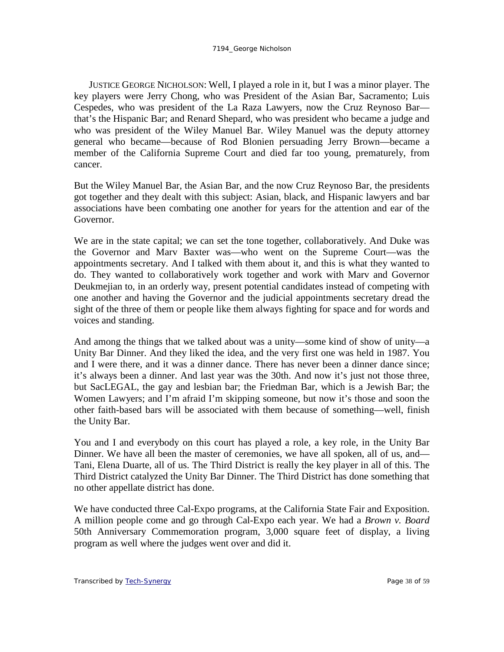JUSTICE GEORGE NICHOLSON: Well, I played a role in it, but I was a minor player. The key players were Jerry Chong, who was President of the Asian Bar, Sacramento; Luis Cespedes, who was president of the La Raza Lawyers, now the Cruz Reynoso Bar that's the Hispanic Bar; and Renard Shepard, who was president who became a judge and who was president of the Wiley Manuel Bar. Wiley Manuel was the deputy attorney general who became—because of Rod Blonien persuading Jerry Brown—became a member of the California Supreme Court and died far too young, prematurely, from cancer.

But the Wiley Manuel Bar, the Asian Bar, and the now Cruz Reynoso Bar, the presidents got together and they dealt with this subject: Asian, black, and Hispanic lawyers and bar associations have been combating one another for years for the attention and ear of the Governor.

We are in the state capital; we can set the tone together, collaboratively. And Duke was the Governor and Marv Baxter was—who went on the Supreme Court—was the appointments secretary. And I talked with them about it, and this is what they wanted to do. They wanted to collaboratively work together and work with Marv and Governor Deukmejian to, in an orderly way, present potential candidates instead of competing with one another and having the Governor and the judicial appointments secretary dread the sight of the three of them or people like them always fighting for space and for words and voices and standing.

And among the things that we talked about was a unity—some kind of show of unity—a Unity Bar Dinner. And they liked the idea, and the very first one was held in 1987. You and I were there, and it was a dinner dance. There has never been a dinner dance since; it's always been a dinner. And last year was the 30th. And now it's just not those three, but SacLEGAL, the gay and lesbian bar; the Friedman Bar, which is a Jewish Bar; the Women Lawyers; and I'm afraid I'm skipping someone, but now it's those and soon the other faith-based bars will be associated with them because of something—well, finish the Unity Bar.

You and I and everybody on this court has played a role, a key role, in the Unity Bar Dinner. We have all been the master of ceremonies, we have all spoken, all of us, and— Tani, Elena Duarte, all of us. The Third District is really the key player in all of this. The Third District catalyzed the Unity Bar Dinner. The Third District has done something that no other appellate district has done.

We have conducted three Cal-Expo programs, at the California State Fair and Exposition. A million people come and go through Cal-Expo each year. We had a *Brown v. Board* 50th Anniversary Commemoration program, 3,000 square feet of display, a living program as well where the judges went over and did it.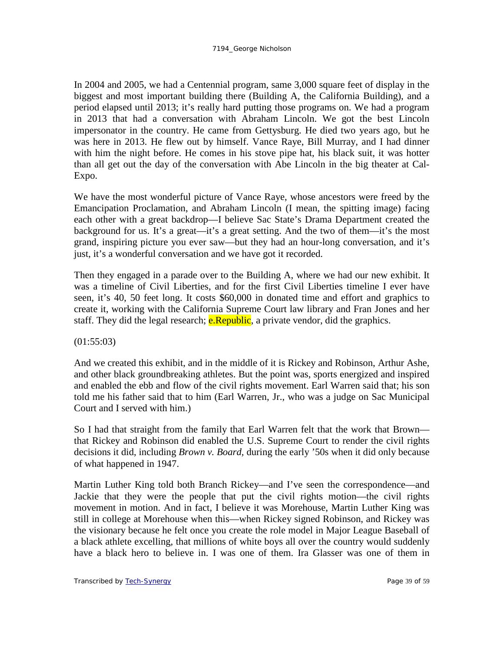In 2004 and 2005, we had a Centennial program, same 3,000 square feet of display in the biggest and most important building there (Building A, the California Building), and a period elapsed until 2013; it's really hard putting those programs on. We had a program in 2013 that had a conversation with Abraham Lincoln. We got the best Lincoln impersonator in the country. He came from Gettysburg. He died two years ago, but he was here in 2013. He flew out by himself. Vance Raye, Bill Murray, and I had dinner with him the night before. He comes in his stove pipe hat, his black suit, it was hotter than all get out the day of the conversation with Abe Lincoln in the big theater at Cal-Expo.

We have the most wonderful picture of Vance Raye, whose ancestors were freed by the Emancipation Proclamation, and Abraham Lincoln (I mean, the spitting image) facing each other with a great backdrop—I believe Sac State's Drama Department created the background for us. It's a great—it's a great setting. And the two of them—it's the most grand, inspiring picture you ever saw—but they had an hour-long conversation, and it's just, it's a wonderful conversation and we have got it recorded.

Then they engaged in a parade over to the Building A, where we had our new exhibit. It was a timeline of Civil Liberties, and for the first Civil Liberties timeline I ever have seen, it's 40, 50 feet long. It costs \$60,000 in donated time and effort and graphics to create it, working with the California Supreme Court law library and Fran Jones and her staff. They did the legal research; **e.Republic**, a private vendor, did the graphics.

 $(01:55:03)$ 

And we created this exhibit, and in the middle of it is Rickey and Robinson, Arthur Ashe, and other black groundbreaking athletes. But the point was, sports energized and inspired and enabled the ebb and flow of the civil rights movement. Earl Warren said that; his son told me his father said that to him (Earl Warren, Jr., who was a judge on Sac Municipal Court and I served with him.)

So I had that straight from the family that Earl Warren felt that the work that Brown that Rickey and Robinson did enabled the U.S. Supreme Court to render the civil rights decisions it did, including *Brown v. Board,* during the early '50s when it did only because of what happened in 1947.

Martin Luther King told both Branch Rickey—and I've seen the correspondence—and Jackie that they were the people that put the civil rights motion—the civil rights movement in motion. And in fact, I believe it was Morehouse, Martin Luther King was still in college at Morehouse when this—when Rickey signed Robinson, and Rickey was the visionary because he felt once you create the role model in Major League Baseball of a black athlete excelling, that millions of white boys all over the country would suddenly have a black hero to believe in. I was one of them. Ira Glasser was one of them in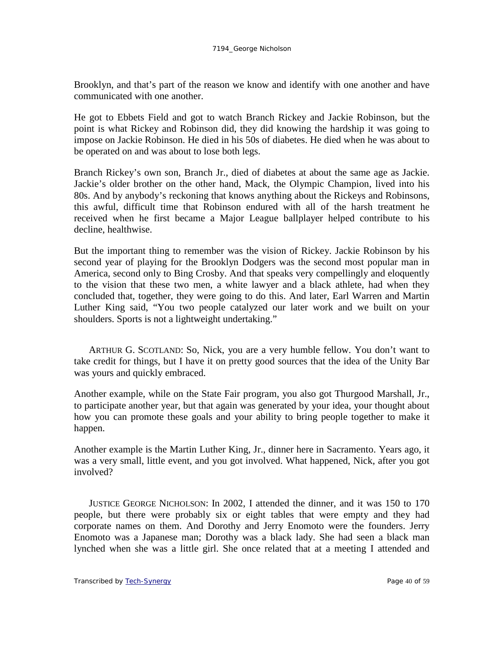Brooklyn, and that's part of the reason we know and identify with one another and have communicated with one another.

He got to Ebbets Field and got to watch Branch Rickey and Jackie Robinson, but the point is what Rickey and Robinson did, they did knowing the hardship it was going to impose on Jackie Robinson. He died in his 50s of diabetes. He died when he was about to be operated on and was about to lose both legs.

Branch Rickey's own son, Branch Jr., died of diabetes at about the same age as Jackie. Jackie's older brother on the other hand, Mack, the Olympic Champion, lived into his 80s. And by anybody's reckoning that knows anything about the Rickeys and Robinsons, this awful, difficult time that Robinson endured with all of the harsh treatment he received when he first became a Major League ballplayer helped contribute to his decline, healthwise.

But the important thing to remember was the vision of Rickey. Jackie Robinson by his second year of playing for the Brooklyn Dodgers was the second most popular man in America, second only to Bing Crosby. And that speaks very compellingly and eloquently to the vision that these two men, a white lawyer and a black athlete, had when they concluded that, together, they were going to do this. And later, Earl Warren and Martin Luther King said, "You two people catalyzed our later work and we built on your shoulders. Sports is not a lightweight undertaking."

ARTHUR G. SCOTLAND: So, Nick, you are a very humble fellow. You don't want to take credit for things, but I have it on pretty good sources that the idea of the Unity Bar was yours and quickly embraced.

Another example, while on the State Fair program, you also got Thurgood Marshall, Jr., to participate another year, but that again was generated by your idea, your thought about how you can promote these goals and your ability to bring people together to make it happen.

Another example is the Martin Luther King, Jr., dinner here in Sacramento. Years ago, it was a very small, little event, and you got involved. What happened, Nick, after you got involved?

JUSTICE GEORGE NICHOLSON: In 2002, I attended the dinner, and it was 150 to 170 people, but there were probably six or eight tables that were empty and they had corporate names on them. And Dorothy and Jerry Enomoto were the founders. Jerry Enomoto was a Japanese man; Dorothy was a black lady. She had seen a black man lynched when she was a little girl. She once related that at a meeting I attended and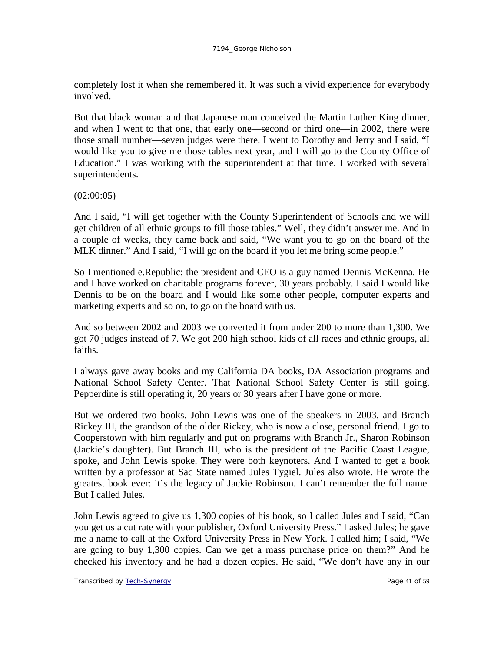completely lost it when she remembered it. It was such a vivid experience for everybody involved.

But that black woman and that Japanese man conceived the Martin Luther King dinner, and when I went to that one, that early one—second or third one—in 2002, there were those small number—seven judges were there. I went to Dorothy and Jerry and I said, "I would like you to give me those tables next year, and I will go to the County Office of Education." I was working with the superintendent at that time. I worked with several superintendents.

 $(02:00:05)$ 

And I said, "I will get together with the County Superintendent of Schools and we will get children of all ethnic groups to fill those tables." Well, they didn't answer me. And in a couple of weeks, they came back and said, "We want you to go on the board of the MLK dinner." And I said, "I will go on the board if you let me bring some people."

So I mentioned e.Republic; the president and CEO is a guy named Dennis McKenna. He and I have worked on charitable programs forever, 30 years probably. I said I would like Dennis to be on the board and I would like some other people, computer experts and marketing experts and so on, to go on the board with us.

And so between 2002 and 2003 we converted it from under 200 to more than 1,300. We got 70 judges instead of 7. We got 200 high school kids of all races and ethnic groups, all faiths.

I always gave away books and my California DA books, DA Association programs and National School Safety Center. That National School Safety Center is still going. Pepperdine is still operating it, 20 years or 30 years after I have gone or more.

But we ordered two books. John Lewis was one of the speakers in 2003, and Branch Rickey III, the grandson of the older Rickey, who is now a close, personal friend. I go to Cooperstown with him regularly and put on programs with Branch Jr., Sharon Robinson (Jackie's daughter). But Branch III, who is the president of the Pacific Coast League, spoke, and John Lewis spoke. They were both keynoters. And I wanted to get a book written by a professor at Sac State named Jules Tygiel. Jules also wrote. He wrote the greatest book ever: it's the legacy of Jackie Robinson. I can't remember the full name. But I called Jules.

John Lewis agreed to give us 1,300 copies of his book, so I called Jules and I said, "Can you get us a cut rate with your publisher, Oxford University Press." I asked Jules; he gave me a name to call at the Oxford University Press in New York. I called him; I said, "We are going to buy 1,300 copies. Can we get a mass purchase price on them?" And he checked his inventory and he had a dozen copies. He said, "We don't have any in our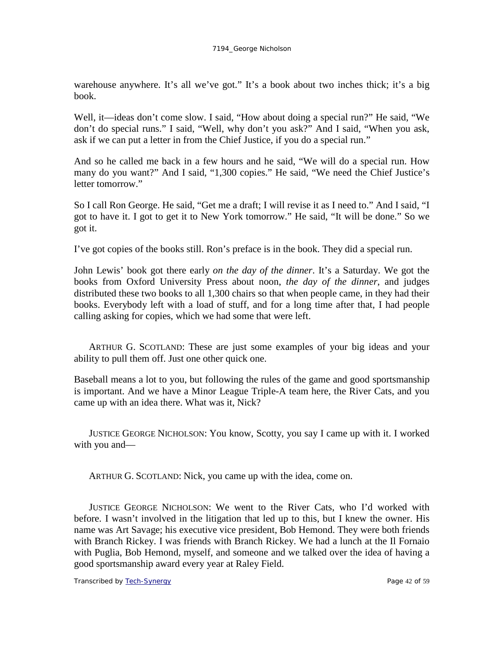warehouse anywhere. It's all we've got." It's a book about two inches thick; it's a big book.

Well, it—ideas don't come slow. I said, "How about doing a special run?" He said, "We don't do special runs." I said, "Well, why don't you ask?" And I said, "When you ask, ask if we can put a letter in from the Chief Justice, if you do a special run."

And so he called me back in a few hours and he said, "We will do a special run. How many do you want?" And I said, "1,300 copies." He said, "We need the Chief Justice's letter tomorrow."

So I call Ron George. He said, "Get me a draft; I will revise it as I need to." And I said, "I got to have it. I got to get it to New York tomorrow." He said, "It will be done." So we got it.

I've got copies of the books still. Ron's preface is in the book. They did a special run.

John Lewis' book got there early *on the day of the dinner*. It's a Saturday. We got the books from Oxford University Press about noon, *the day of the dinner*, and judges distributed these two books to all 1,300 chairs so that when people came, in they had their books. Everybody left with a load of stuff, and for a long time after that, I had people calling asking for copies, which we had some that were left.

ARTHUR G. SCOTLAND: These are just some examples of your big ideas and your ability to pull them off. Just one other quick one.

Baseball means a lot to you, but following the rules of the game and good sportsmanship is important. And we have a Minor League Triple-A team here, the River Cats, and you came up with an idea there. What was it, Nick?

JUSTICE GEORGE NICHOLSON: You know, Scotty, you say I came up with it. I worked with you and—

ARTHUR G. SCOTLAND: Nick, you came up with the idea, come on.

JUSTICE GEORGE NICHOLSON: We went to the River Cats, who I'd worked with before. I wasn't involved in the litigation that led up to this, but I knew the owner. His name was Art Savage; his executive vice president, Bob Hemond. They were both friends with Branch Rickey. I was friends with Branch Rickey. We had a lunch at the Il Fornaio with Puglia, Bob Hemond, myself, and someone and we talked over the idea of having a good sportsmanship award every year at Raley Field.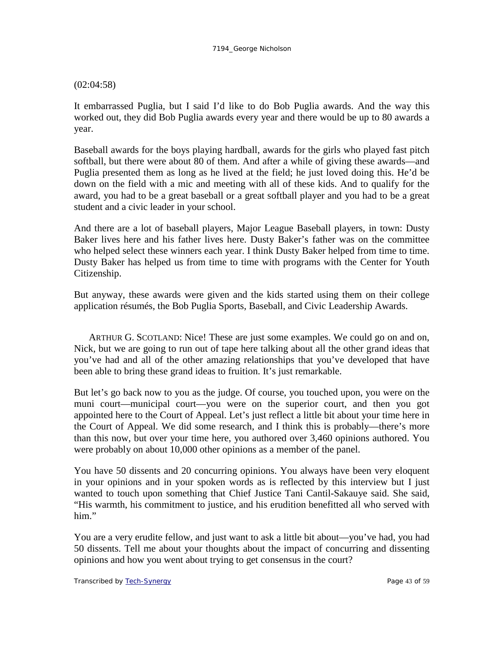### (02:04:58)

It embarrassed Puglia, but I said I'd like to do Bob Puglia awards. And the way this worked out, they did Bob Puglia awards every year and there would be up to 80 awards a year.

Baseball awards for the boys playing hardball, awards for the girls who played fast pitch softball, but there were about 80 of them. And after a while of giving these awards—and Puglia presented them as long as he lived at the field; he just loved doing this. He'd be down on the field with a mic and meeting with all of these kids. And to qualify for the award, you had to be a great baseball or a great softball player and you had to be a great student and a civic leader in your school.

And there are a lot of baseball players, Major League Baseball players, in town: Dusty Baker lives here and his father lives here. Dusty Baker's father was on the committee who helped select these winners each year. I think Dusty Baker helped from time to time. Dusty Baker has helped us from time to time with programs with the Center for Youth Citizenship.

But anyway, these awards were given and the kids started using them on their college application résumés, the Bob Puglia Sports, Baseball, and Civic Leadership Awards.

ARTHUR G. SCOTLAND: Nice! These are just some examples. We could go on and on, Nick, but we are going to run out of tape here talking about all the other grand ideas that you've had and all of the other amazing relationships that you've developed that have been able to bring these grand ideas to fruition. It's just remarkable.

But let's go back now to you as the judge. Of course, you touched upon, you were on the muni court—municipal court—you were on the superior court, and then you got appointed here to the Court of Appeal. Let's just reflect a little bit about your time here in the Court of Appeal. We did some research, and I think this is probably—there's more than this now, but over your time here, you authored over 3,460 opinions authored. You were probably on about 10,000 other opinions as a member of the panel.

You have 50 dissents and 20 concurring opinions. You always have been very eloquent in your opinions and in your spoken words as is reflected by this interview but I just wanted to touch upon something that Chief Justice Tani Cantil-Sakauye said. She said, "His warmth, his commitment to justice, and his erudition benefitted all who served with him."

You are a very erudite fellow, and just want to ask a little bit about—you've had, you had 50 dissents. Tell me about your thoughts about the impact of concurring and dissenting opinions and how you went about trying to get consensus in the court?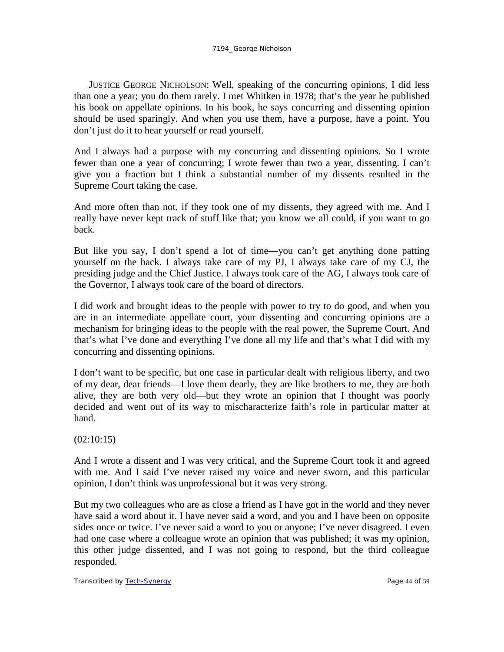JUSTICE GEORGE NICHOLSON: Well, speaking of the concurring opinions, I did less than one a year; you do them rarely. I met Whitken in 1978; that's the year he published his book on appellate opinions. In his book, he says concurring and dissenting opinion should be used sparingly. And when you use them, have a purpose, have a point. You don't just do it to hear yourself or read yourself.

And I always had a purpose with my concurring and dissenting opinions. So I wrote fewer than one a year of concurring; I wrote fewer than two a year, dissenting. I can't give you a fraction but I think a substantial number of my dissents resulted in the Supreme Court taking the case.

And more often than not, if they took one of my dissents, they agreed with me. And I really have never kept track of stuff like that; you know we all could, if you want to go back.

But like you say, I don't spend a lot of time—you can't get anything done patting yourself on the back. I always take care of my PJ, I always take care of my CJ, the presiding judge and the Chief Justice. I always took care of the AG, I always took care of the Governor, I always took care of the board of directors.

I did work and brought ideas to the people with power to try to do good, and when you are in an intermediate appellate court, your dissenting and concurring opinions are a mechanism for bringing ideas to the people with the real power, the Supreme Court. And that's what I've done and everything I've done all my life and that's what I did with my concurring and dissenting opinions.

I don't want to be specific, but one case in particular dealt with religious liberty, and two of my dear, dear friends—I love them dearly, they are like brothers to me, they are both alive, they are both very old—but they wrote an opinion that I thought was poorly decided and went out of its way to mischaracterize faith's role in particular matter at hand.

(02:10:15)

And I wrote a dissent and I was very critical, and the Supreme Court took it and agreed with me. And I said I've never raised my voice and never sworn, and this particular opinion, I don't think was unprofessional but it was very strong.

But my two colleagues who are as close a friend as I have got in the world and they never have said a word about it. I have never said a word, and you and I have been on opposite sides once or twice. I've never said a word to you or anyone; I've never disagreed. I even had one case where a colleague wrote an opinion that was published; it was my opinion, this other judge dissented, and I was not going to respond, but the third colleague responded.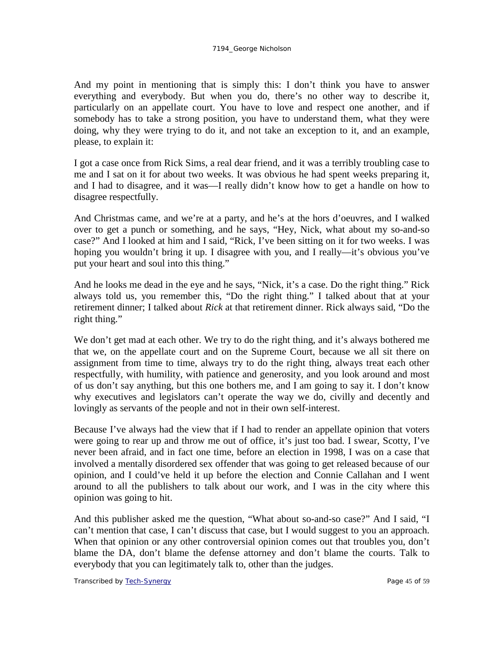And my point in mentioning that is simply this: I don't think you have to answer everything and everybody. But when you do, there's no other way to describe it, particularly on an appellate court. You have to love and respect one another, and if somebody has to take a strong position, you have to understand them, what they were doing, why they were trying to do it, and not take an exception to it, and an example, please, to explain it:

I got a case once from Rick Sims, a real dear friend, and it was a terribly troubling case to me and I sat on it for about two weeks. It was obvious he had spent weeks preparing it, and I had to disagree, and it was—I really didn't know how to get a handle on how to disagree respectfully.

And Christmas came, and we're at a party, and he's at the hors d'oeuvres, and I walked over to get a punch or something, and he says, "Hey, Nick, what about my so-and-so case?" And I looked at him and I said, "Rick, I've been sitting on it for two weeks. I was hoping you wouldn't bring it up. I disagree with you, and I really—it's obvious you've put your heart and soul into this thing."

And he looks me dead in the eye and he says, "Nick, it's a case. Do the right thing." Rick always told us, you remember this, "Do the right thing." I talked about that at your retirement dinner; I talked about *Rick* at that retirement dinner. Rick always said, "Do the right thing."

We don't get mad at each other. We try to do the right thing, and it's always bothered me that we, on the appellate court and on the Supreme Court, because we all sit there on assignment from time to time, always try to do the right thing, always treat each other respectfully, with humility, with patience and generosity, and you look around and most of us don't say anything, but this one bothers me, and I am going to say it. I don't know why executives and legislators can't operate the way we do, civilly and decently and lovingly as servants of the people and not in their own self-interest.

Because I've always had the view that if I had to render an appellate opinion that voters were going to rear up and throw me out of office, it's just too bad. I swear, Scotty, I've never been afraid, and in fact one time, before an election in 1998, I was on a case that involved a mentally disordered sex offender that was going to get released because of our opinion, and I could've held it up before the election and Connie Callahan and I went around to all the publishers to talk about our work, and I was in the city where this opinion was going to hit.

And this publisher asked me the question, "What about so-and-so case?" And I said, "I can't mention that case, I can't discuss that case, but I would suggest to you an approach. When that opinion or any other controversial opinion comes out that troubles you, don't blame the DA, don't blame the defense attorney and don't blame the courts. Talk to everybody that you can legitimately talk to, other than the judges.

Transcribed by [Tech-Synergy](http://www.tech-synergy.com/) **Page 45 of 59** Page 45 of 59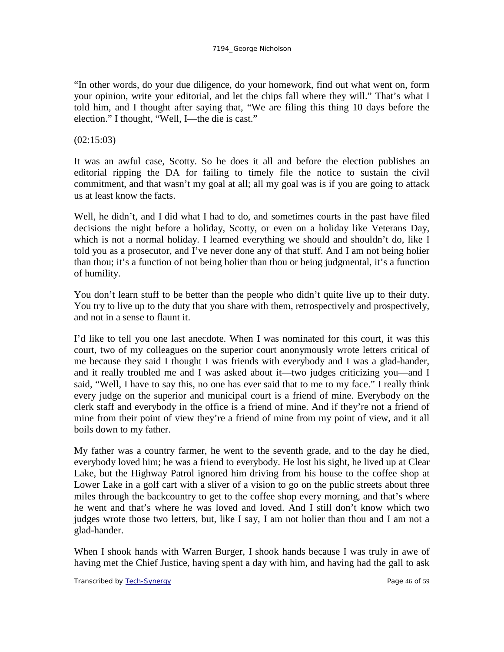"In other words, do your due diligence, do your homework, find out what went on, form your opinion, write your editorial, and let the chips fall where they will." That's what I told him, and I thought after saying that, "We are filing this thing 10 days before the election." I thought, "Well, I—the die is cast."

(02:15:03)

It was an awful case, Scotty. So he does it all and before the election publishes an editorial ripping the DA for failing to timely file the notice to sustain the civil commitment, and that wasn't my goal at all; all my goal was is if you are going to attack us at least know the facts.

Well, he didn't, and I did what I had to do, and sometimes courts in the past have filed decisions the night before a holiday, Scotty, or even on a holiday like Veterans Day, which is not a normal holiday. I learned everything we should and shouldn't do, like I told you as a prosecutor, and I've never done any of that stuff. And I am not being holier than thou; it's a function of not being holier than thou or being judgmental, it's a function of humility.

You don't learn stuff to be better than the people who didn't quite live up to their duty. You try to live up to the duty that you share with them, retrospectively and prospectively, and not in a sense to flaunt it.

I'd like to tell you one last anecdote. When I was nominated for this court, it was this court, two of my colleagues on the superior court anonymously wrote letters critical of me because they said I thought I was friends with everybody and I was a glad-hander, and it really troubled me and I was asked about it—two judges criticizing you—and I said, "Well, I have to say this, no one has ever said that to me to my face." I really think every judge on the superior and municipal court is a friend of mine. Everybody on the clerk staff and everybody in the office is a friend of mine. And if they're not a friend of mine from their point of view they're a friend of mine from my point of view, and it all boils down to my father.

My father was a country farmer, he went to the seventh grade, and to the day he died, everybody loved him; he was a friend to everybody. He lost his sight, he lived up at Clear Lake, but the Highway Patrol ignored him driving from his house to the coffee shop at Lower Lake in a golf cart with a sliver of a vision to go on the public streets about three miles through the backcountry to get to the coffee shop every morning, and that's where he went and that's where he was loved and loved. And I still don't know which two judges wrote those two letters, but, like I say, I am not holier than thou and I am not a glad-hander.

When I shook hands with Warren Burger, I shook hands because I was truly in awe of having met the Chief Justice, having spent a day with him, and having had the gall to ask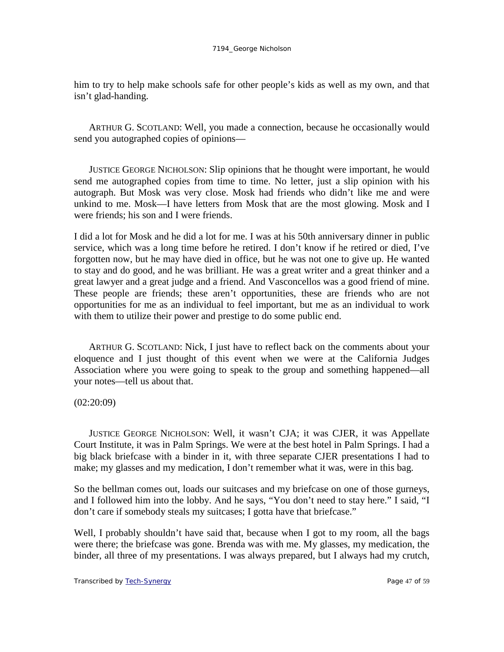him to try to help make schools safe for other people's kids as well as my own, and that isn't glad-handing.

ARTHUR G. SCOTLAND: Well, you made a connection, because he occasionally would send you autographed copies of opinions—

JUSTICE GEORGE NICHOLSON: Slip opinions that he thought were important, he would send me autographed copies from time to time. No letter, just a slip opinion with his autograph. But Mosk was very close. Mosk had friends who didn't like me and were unkind to me. Mosk—I have letters from Mosk that are the most glowing. Mosk and I were friends; his son and I were friends.

I did a lot for Mosk and he did a lot for me. I was at his 50th anniversary dinner in public service, which was a long time before he retired. I don't know if he retired or died, I've forgotten now, but he may have died in office, but he was not one to give up. He wanted to stay and do good, and he was brilliant. He was a great writer and a great thinker and a great lawyer and a great judge and a friend. And Vasconcellos was a good friend of mine. These people are friends; these aren't opportunities, these are friends who are not opportunities for me as an individual to feel important, but me as an individual to work with them to utilize their power and prestige to do some public end.

ARTHUR G. SCOTLAND: Nick, I just have to reflect back on the comments about your eloquence and I just thought of this event when we were at the California Judges Association where you were going to speak to the group and something happened—all your notes—tell us about that.

### (02:20:09)

JUSTICE GEORGE NICHOLSON: Well, it wasn't CJA; it was CJER, it was Appellate Court Institute, it was in Palm Springs. We were at the best hotel in Palm Springs. I had a big black briefcase with a binder in it, with three separate CJER presentations I had to make; my glasses and my medication, I don't remember what it was, were in this bag.

So the bellman comes out, loads our suitcases and my briefcase on one of those gurneys, and I followed him into the lobby. And he says, "You don't need to stay here." I said, "I don't care if somebody steals my suitcases; I gotta have that briefcase."

Well, I probably shouldn't have said that, because when I got to my room, all the bags were there; the briefcase was gone. Brenda was with me. My glasses, my medication, the binder, all three of my presentations. I was always prepared, but I always had my crutch,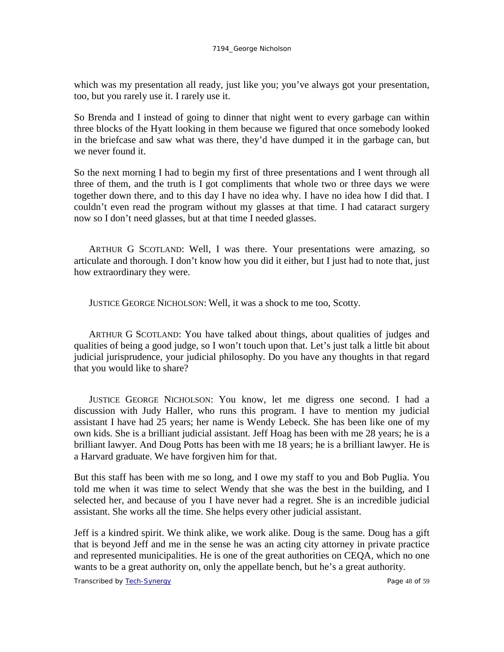which was my presentation all ready, just like you; you've always got your presentation, too, but you rarely use it. I rarely use it.

So Brenda and I instead of going to dinner that night went to every garbage can within three blocks of the Hyatt looking in them because we figured that once somebody looked in the briefcase and saw what was there, they'd have dumped it in the garbage can, but we never found it.

So the next morning I had to begin my first of three presentations and I went through all three of them, and the truth is I got compliments that whole two or three days we were together down there, and to this day I have no idea why. I have no idea how I did that. I couldn't even read the program without my glasses at that time. I had cataract surgery now so I don't need glasses, but at that time I needed glasses.

ARTHUR G SCOTLAND: Well, I was there. Your presentations were amazing, so articulate and thorough. I don't know how you did it either, but I just had to note that, just how extraordinary they were.

JUSTICE GEORGE NICHOLSON: Well, it was a shock to me too, Scotty.

ARTHUR G SCOTLAND: You have talked about things, about qualities of judges and qualities of being a good judge, so I won't touch upon that. Let's just talk a little bit about judicial jurisprudence, your judicial philosophy. Do you have any thoughts in that regard that you would like to share?

JUSTICE GEORGE NICHOLSON: You know, let me digress one second. I had a discussion with Judy Haller, who runs this program. I have to mention my judicial assistant I have had 25 years; her name is Wendy Lebeck. She has been like one of my own kids. She is a brilliant judicial assistant. Jeff Hoag has been with me 28 years; he is a brilliant lawyer. And Doug Potts has been with me 18 years; he is a brilliant lawyer. He is a Harvard graduate. We have forgiven him for that.

But this staff has been with me so long, and I owe my staff to you and Bob Puglia. You told me when it was time to select Wendy that she was the best in the building, and I selected her, and because of you I have never had a regret. She is an incredible judicial assistant. She works all the time. She helps every other judicial assistant.

Jeff is a kindred spirit. We think alike, we work alike. Doug is the same. Doug has a gift that is beyond Jeff and me in the sense he was an acting city attorney in private practice and represented municipalities. He is one of the great authorities on CEQA, which no one wants to be a great authority on, only the appellate bench, but he's a great authority.

Transcribed by <u>Tech-Synergy</u> Page 48 of 59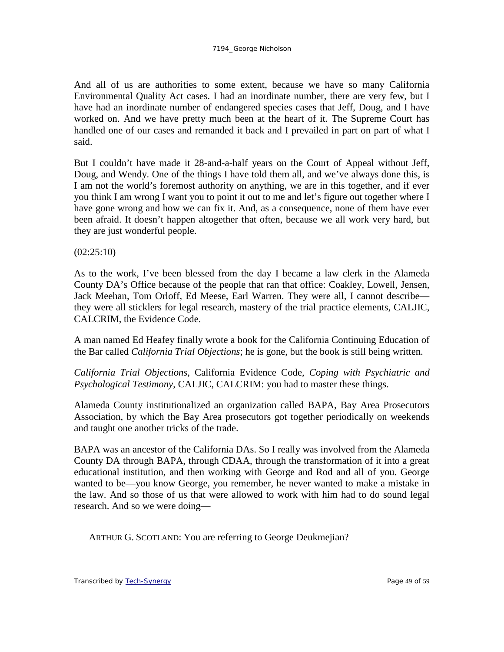And all of us are authorities to some extent, because we have so many California Environmental Quality Act cases. I had an inordinate number, there are very few, but I have had an inordinate number of endangered species cases that Jeff, Doug, and I have worked on. And we have pretty much been at the heart of it. The Supreme Court has handled one of our cases and remanded it back and I prevailed in part on part of what I said.

But I couldn't have made it 28-and-a-half years on the Court of Appeal without Jeff, Doug, and Wendy. One of the things I have told them all, and we've always done this, is I am not the world's foremost authority on anything, we are in this together, and if ever you think I am wrong I want you to point it out to me and let's figure out together where I have gone wrong and how we can fix it. And, as a consequence, none of them have ever been afraid. It doesn't happen altogether that often, because we all work very hard, but they are just wonderful people.

 $(02:25:10)$ 

As to the work, I've been blessed from the day I became a law clerk in the Alameda County DA's Office because of the people that ran that office: Coakley, Lowell, Jensen, Jack Meehan, Tom Orloff, Ed Meese, Earl Warren. They were all, I cannot describe they were all sticklers for legal research, mastery of the trial practice elements, CALJIC, CALCRIM, the Evidence Code.

A man named Ed Heafey finally wrote a book for the California Continuing Education of the Bar called *California Trial Objections*; he is gone, but the book is still being written.

*California Trial Objections*, California Evidence Code, *Coping with Psychiatric and Psychological Testimony*, CALJIC, CALCRIM: you had to master these things.

Alameda County institutionalized an organization called BAPA, Bay Area Prosecutors Association, by which the Bay Area prosecutors got together periodically on weekends and taught one another tricks of the trade.

BAPA was an ancestor of the California DAs. So I really was involved from the Alameda County DA through BAPA, through CDAA, through the transformation of it into a great educational institution, and then working with George and Rod and all of you. George wanted to be—you know George, you remember, he never wanted to make a mistake in the law. And so those of us that were allowed to work with him had to do sound legal research. And so we were doing—

ARTHUR G. SCOTLAND: You are referring to George Deukmejian?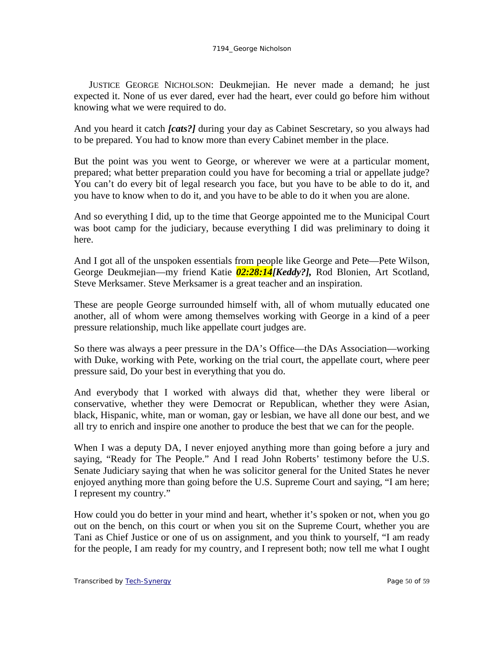JUSTICE GEORGE NICHOLSON: Deukmejian. He never made a demand; he just expected it. None of us ever dared, ever had the heart, ever could go before him without knowing what we were required to do.

And you heard it catch *[cats?]* during your day as Cabinet Sescretary, so you always had to be prepared. You had to know more than every Cabinet member in the place.

But the point was you went to George, or wherever we were at a particular moment, prepared; what better preparation could you have for becoming a trial or appellate judge? You can't do every bit of legal research you face, but you have to be able to do it, and you have to know when to do it, and you have to be able to do it when you are alone.

And so everything I did, up to the time that George appointed me to the Municipal Court was boot camp for the judiciary, because everything I did was preliminary to doing it here.

And I got all of the unspoken essentials from people like George and Pete—Pete Wilson, George Deukmejian—my friend Katie *02:28:14[Keddy?],* Rod Blonien, Art Scotland, Steve Merksamer. Steve Merksamer is a great teacher and an inspiration.

These are people George surrounded himself with, all of whom mutually educated one another, all of whom were among themselves working with George in a kind of a peer pressure relationship, much like appellate court judges are.

So there was always a peer pressure in the DA's Office—the DAs Association—working with Duke, working with Pete, working on the trial court, the appellate court, where peer pressure said, Do your best in everything that you do.

And everybody that I worked with always did that, whether they were liberal or conservative, whether they were Democrat or Republican, whether they were Asian, black, Hispanic, white, man or woman, gay or lesbian, we have all done our best, and we all try to enrich and inspire one another to produce the best that we can for the people.

When I was a deputy DA, I never enjoyed anything more than going before a jury and saying, "Ready for The People." And I read John Roberts' testimony before the U.S. Senate Judiciary saying that when he was solicitor general for the United States he never enjoyed anything more than going before the U.S. Supreme Court and saying, "I am here; I represent my country."

How could you do better in your mind and heart, whether it's spoken or not, when you go out on the bench, on this court or when you sit on the Supreme Court, whether you are Tani as Chief Justice or one of us on assignment, and you think to yourself, "I am ready for the people, I am ready for my country, and I represent both; now tell me what I ought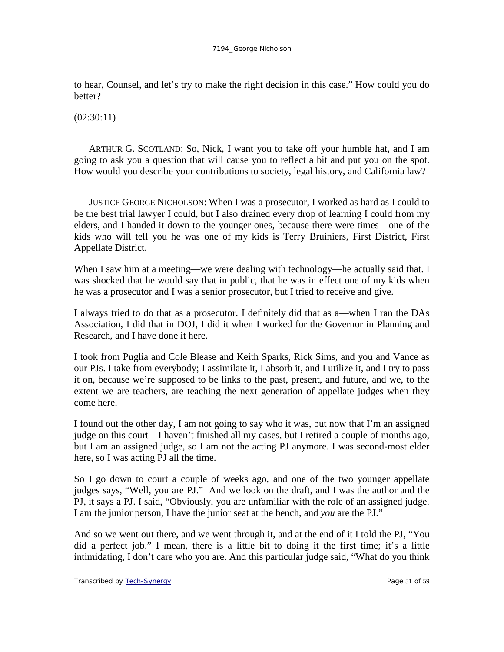to hear, Counsel, and let's try to make the right decision in this case." How could you do better?

 $(02:30:11)$ 

ARTHUR G. SCOTLAND: So, Nick, I want you to take off your humble hat, and I am going to ask you a question that will cause you to reflect a bit and put you on the spot. How would you describe your contributions to society, legal history, and California law?

JUSTICE GEORGE NICHOLSON: When I was a prosecutor, I worked as hard as I could to be the best trial lawyer I could, but I also drained every drop of learning I could from my elders, and I handed it down to the younger ones, because there were times—one of the kids who will tell you he was one of my kids is Terry Bruiniers, First District, First Appellate District.

When I saw him at a meeting—we were dealing with technology—he actually said that. I was shocked that he would say that in public, that he was in effect one of my kids when he was a prosecutor and I was a senior prosecutor, but I tried to receive and give.

I always tried to do that as a prosecutor. I definitely did that as a—when I ran the DAs Association, I did that in DOJ, I did it when I worked for the Governor in Planning and Research, and I have done it here.

I took from Puglia and Cole Blease and Keith Sparks, Rick Sims, and you and Vance as our PJs. I take from everybody; I assimilate it, I absorb it, and I utilize it, and I try to pass it on, because we're supposed to be links to the past, present, and future, and we, to the extent we are teachers, are teaching the next generation of appellate judges when they come here.

I found out the other day, I am not going to say who it was, but now that I'm an assigned judge on this court—I haven't finished all my cases, but I retired a couple of months ago, but I am an assigned judge, so I am not the acting PJ anymore. I was second-most elder here, so I was acting PJ all the time.

So I go down to court a couple of weeks ago, and one of the two younger appellate judges says, "Well, you are PJ." And we look on the draft, and I was the author and the PJ, it says a PJ. I said, "Obviously, you are unfamiliar with the role of an assigned judge. I am the junior person, I have the junior seat at the bench, and *you* are the PJ."

And so we went out there, and we went through it, and at the end of it I told the PJ, "You did a perfect job." I mean, there is a little bit to doing it the first time; it's a little intimidating, I don't care who you are. And this particular judge said, "What do you think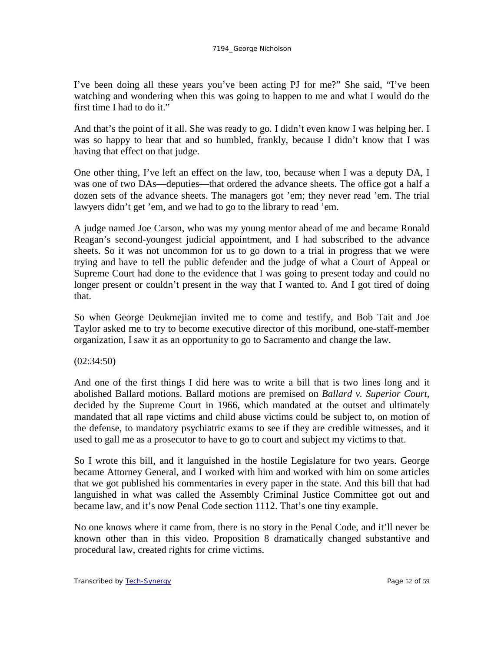I've been doing all these years you've been acting PJ for me?" She said, "I've been watching and wondering when this was going to happen to me and what I would do the first time I had to do it."

And that's the point of it all. She was ready to go. I didn't even know I was helping her. I was so happy to hear that and so humbled, frankly, because I didn't know that I was having that effect on that judge.

One other thing, I've left an effect on the law, too, because when I was a deputy DA, I was one of two DAs—deputies—that ordered the advance sheets. The office got a half a dozen sets of the advance sheets. The managers got 'em; they never read 'em. The trial lawyers didn't get 'em, and we had to go to the library to read 'em.

A judge named Joe Carson, who was my young mentor ahead of me and became Ronald Reagan's second-youngest judicial appointment, and I had subscribed to the advance sheets. So it was not uncommon for us to go down to a trial in progress that we were trying and have to tell the public defender and the judge of what a Court of Appeal or Supreme Court had done to the evidence that I was going to present today and could no longer present or couldn't present in the way that I wanted to. And I got tired of doing that.

So when George Deukmejian invited me to come and testify, and Bob Tait and Joe Taylor asked me to try to become executive director of this moribund, one-staff-member organization, I saw it as an opportunity to go to Sacramento and change the law.

## (02:34:50)

And one of the first things I did here was to write a bill that is two lines long and it abolished Ballard motions. Ballard motions are premised on *Ballard v. Superior Court*, decided by the Supreme Court in 1966, which mandated at the outset and ultimately mandated that all rape victims and child abuse victims could be subject to, on motion of the defense, to mandatory psychiatric exams to see if they are credible witnesses, and it used to gall me as a prosecutor to have to go to court and subject my victims to that.

So I wrote this bill, and it languished in the hostile Legislature for two years. George became Attorney General, and I worked with him and worked with him on some articles that we got published his commentaries in every paper in the state. And this bill that had languished in what was called the Assembly Criminal Justice Committee got out and became law, and it's now Penal Code section 1112. That's one tiny example.

No one knows where it came from, there is no story in the Penal Code, and it'll never be known other than in this video. Proposition 8 dramatically changed substantive and procedural law, created rights for crime victims.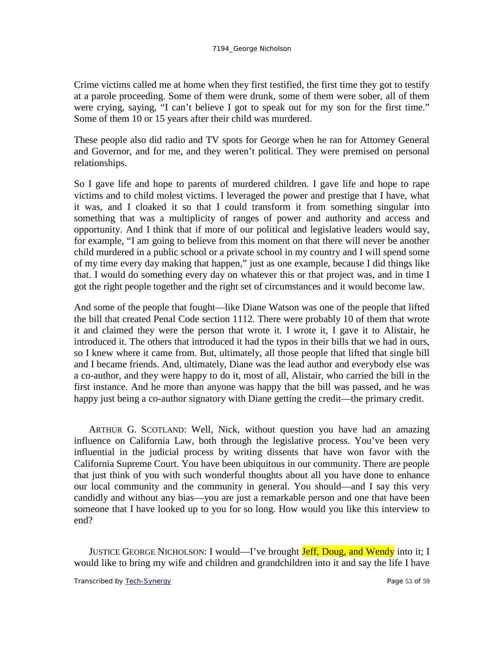Crime victims called me at home when they first testified, the first time they got to testify at a parole proceeding. Some of them were drunk, some of them were sober, all of them were crying, saying, "I can't believe I got to speak out for my son for the first time." Some of them 10 or 15 years after their child was murdered.

These people also did radio and TV spots for George when he ran for Attorney General and Governor, and for me, and they weren't political. They were premised on personal relationships.

So I gave life and hope to parents of murdered children. I gave life and hope to rape victims and to child molest victims. I leveraged the power and prestige that I have, what it was, and I cloaked it so that I could transform it from something singular into something that was a multiplicity of ranges of power and authority and access and opportunity. And I think that if more of our political and legislative leaders would say, for example, "I am going to believe from this moment on that there will never be another child murdered in a public school or a private school in my country and I will spend some of my time every day making that happen," just as one example, because I did things like that. I would do something every day on whatever this or that project was, and in time I got the right people together and the right set of circumstances and it would become law.

And some of the people that fought—like Diane Watson was one of the people that lifted the bill that created Penal Code section 1112. There were probably 10 of them that wrote it and claimed they were the person that wrote it. I wrote it, I gave it to Alistair, he introduced it. The others that introduced it had the typos in their bills that we had in ours, so I knew where it came from. But, ultimately, all those people that lifted that single bill and I became friends. And, ultimately, Diane was the lead author and everybody else was a co-author, and they were happy to do it, most of all, Alistair, who carried the bill in the first instance. And he more than anyone was happy that the bill was passed, and he was happy just being a co-author signatory with Diane getting the credit—the primary credit.

ARTHUR G. SCOTLAND: Well, Nick, without question you have had an amazing influence on California Law, both through the legislative process. You've been very influential in the judicial process by writing dissents that have won favor with the California Supreme Court. You have been ubiquitous in our community. There are people that just think of you with such wonderful thoughts about all you have done to enhance our local community and the community in general. You should—and I say this very candidly and without any bias—you are just a remarkable person and one that have been someone that I have looked up to you for so long. How would you like this interview to end?

JUSTICE GEORGE NICHOLSON: I would—I've brought **Jeff, Doug, and Wendy** into it; I would like to bring my wife and children and grandchildren into it and say the life I have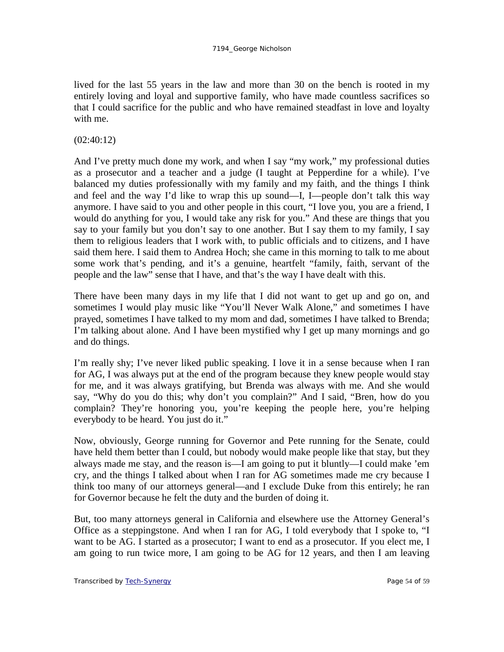lived for the last 55 years in the law and more than 30 on the bench is rooted in my entirely loving and loyal and supportive family, who have made countless sacrifices so that I could sacrifice for the public and who have remained steadfast in love and loyalty with me.

# (02:40:12)

And I've pretty much done my work, and when I say "my work," my professional duties as a prosecutor and a teacher and a judge (I taught at Pepperdine for a while). I've balanced my duties professionally with my family and my faith, and the things I think and feel and the way I'd like to wrap this up sound—I, I—people don't talk this way anymore. I have said to you and other people in this court, "I love you, you are a friend, I would do anything for you, I would take any risk for you." And these are things that you say to your family but you don't say to one another. But I say them to my family, I say them to religious leaders that I work with, to public officials and to citizens, and I have said them here. I said them to Andrea Hoch; she came in this morning to talk to me about some work that's pending, and it's a genuine, heartfelt "family, faith, servant of the people and the law" sense that I have, and that's the way I have dealt with this.

There have been many days in my life that I did not want to get up and go on, and sometimes I would play music like "You'll Never Walk Alone," and sometimes I have prayed, sometimes I have talked to my mom and dad, sometimes I have talked to Brenda; I'm talking about alone. And I have been mystified why I get up many mornings and go and do things.

I'm really shy; I've never liked public speaking. I love it in a sense because when I ran for AG, I was always put at the end of the program because they knew people would stay for me, and it was always gratifying, but Brenda was always with me. And she would say, "Why do you do this; why don't you complain?" And I said, "Bren, how do you complain? They're honoring you, you're keeping the people here, you're helping everybody to be heard. You just do it."

Now, obviously, George running for Governor and Pete running for the Senate, could have held them better than I could, but nobody would make people like that stay, but they always made me stay, and the reason is—I am going to put it bluntly—I could make 'em cry, and the things I talked about when I ran for AG sometimes made me cry because I think too many of our attorneys general—and I exclude Duke from this entirely; he ran for Governor because he felt the duty and the burden of doing it.

But, too many attorneys general in California and elsewhere use the Attorney General's Office as a steppingstone. And when I ran for AG, I told everybody that I spoke to, "I want to be AG. I started as a prosecutor; I want to end as a prosecutor. If you elect me, I am going to run twice more, I am going to be AG for 12 years, and then I am leaving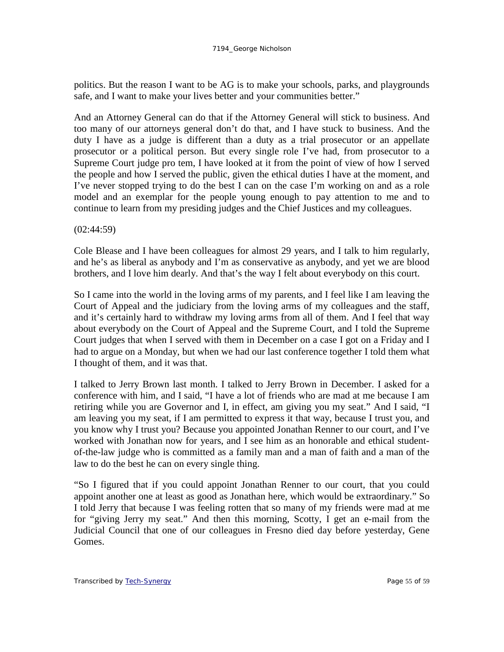politics. But the reason I want to be AG is to make your schools, parks, and playgrounds safe, and I want to make your lives better and your communities better."

And an Attorney General can do that if the Attorney General will stick to business. And too many of our attorneys general don't do that, and I have stuck to business. And the duty I have as a judge is different than a duty as a trial prosecutor or an appellate prosecutor or a political person. But every single role I've had, from prosecutor to a Supreme Court judge pro tem, I have looked at it from the point of view of how I served the people and how I served the public, given the ethical duties I have at the moment, and I've never stopped trying to do the best I can on the case I'm working on and as a role model and an exemplar for the people young enough to pay attention to me and to continue to learn from my presiding judges and the Chief Justices and my colleagues.

(02:44:59)

Cole Blease and I have been colleagues for almost 29 years, and I talk to him regularly, and he's as liberal as anybody and I'm as conservative as anybody, and yet we are blood brothers, and I love him dearly. And that's the way I felt about everybody on this court.

So I came into the world in the loving arms of my parents, and I feel like I am leaving the Court of Appeal and the judiciary from the loving arms of my colleagues and the staff, and it's certainly hard to withdraw my loving arms from all of them. And I feel that way about everybody on the Court of Appeal and the Supreme Court, and I told the Supreme Court judges that when I served with them in December on a case I got on a Friday and I had to argue on a Monday, but when we had our last conference together I told them what I thought of them, and it was that.

I talked to Jerry Brown last month. I talked to Jerry Brown in December. I asked for a conference with him, and I said, "I have a lot of friends who are mad at me because I am retiring while you are Governor and I, in effect, am giving you my seat." And I said, "I am leaving you my seat, if I am permitted to express it that way, because I trust you, and you know why I trust you? Because you appointed Jonathan Renner to our court, and I've worked with Jonathan now for years, and I see him as an honorable and ethical studentof-the-law judge who is committed as a family man and a man of faith and a man of the law to do the best he can on every single thing.

"So I figured that if you could appoint Jonathan Renner to our court, that you could appoint another one at least as good as Jonathan here, which would be extraordinary." So I told Jerry that because I was feeling rotten that so many of my friends were mad at me for "giving Jerry my seat." And then this morning, Scotty, I get an e-mail from the Judicial Council that one of our colleagues in Fresno died day before yesterday, Gene Gomes.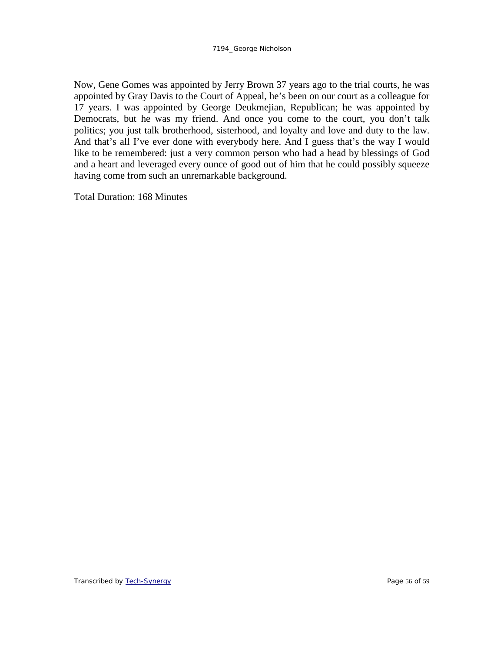Now, Gene Gomes was appointed by Jerry Brown 37 years ago to the trial courts, he was appointed by Gray Davis to the Court of Appeal, he's been on our court as a colleague for 17 years. I was appointed by George Deukmejian, Republican; he was appointed by Democrats, but he was my friend. And once you come to the court, you don't talk politics; you just talk brotherhood, sisterhood, and loyalty and love and duty to the law. And that's all I've ever done with everybody here. And I guess that's the way I would like to be remembered: just a very common person who had a head by blessings of God and a heart and leveraged every ounce of good out of him that he could possibly squeeze having come from such an unremarkable background.

Total Duration: 168 Minutes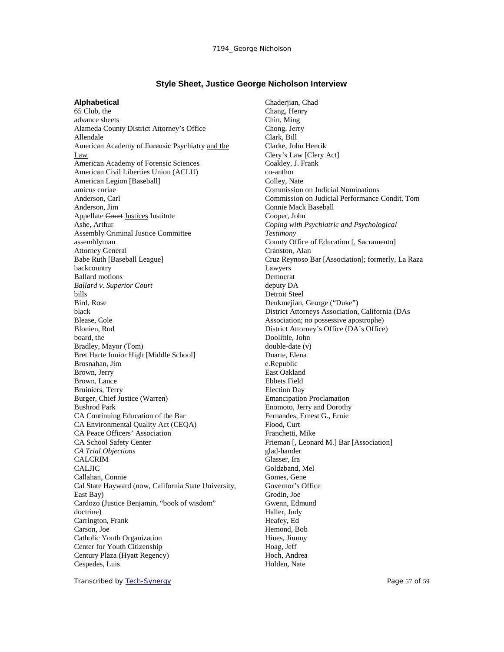### **Style Sheet, Justice George Nicholson Interview**

#### **Alphabetical**

65 Club, the advance sheets Alameda County District Attorney's Office Allendale American Academy of Forensic Psychiatry and the Law American Academy of Forensic Sciences American Civil Liberties Union (ACLU) American Legion [Baseball] amicus curiae Anderson, Carl Anderson, Jim Appellate Court Justices Institute Ashe, Arthur Assembly Criminal Justice Committee assemblyman Attorney General Babe Ruth [Baseball League] backcountry Ballard motions *Ballard v. Superior Court* bills Bird, Rose black Blease, Cole Blonien, Rod board, the Bradley, Mayor (Tom) Bret Harte Junior High [Middle School] Brosnahan, Jim Brown, Jerry Brown, Lance Bruiniers, Terry Burger, Chief Justice (Warren) Bushrod Park CA Continuing Education of the Bar CA Environmental Quality Act (CEQA) CA Peace Officers' Association CA School Safety Center *CA Trial Objections* CALCRIM CALJIC Callahan, Connie Cal State Hayward (now, California State University, East Bay) Cardozo (Justice Benjamin, "book of wisdom" doctrine) Carrington, Frank Carson, Joe Catholic Youth Organization Center for Youth Citizenship Century Plaza (Hyatt Regency) Cespedes, Luis

Chaderjian, Chad Chang, Henry Chin, Ming Chong, Jerry Clark, Bill Clarke, John Henrik Clery's Law [Clery Act] Coakley, J. Frank co-author Colley, Nate Commission on Judicial Nominations Commission on Judicial Performance Condit, Tom Connie Mack Baseball Cooper, John *Coping with Psychiatric and Psychological Testimony* County Office of Education [, Sacramento] Cranston, Alan Cruz Reynoso Bar [Association]; formerly, La Raza Lawyers Democrat deputy DA Detroit Steel Deukmejian, George ("Duke") District Attorneys Association, California (DAs Association; no possessive apostrophe) District Attorney's Office (DA's Office) Doolittle, John double-date (v) Duarte, Elena e.Republic East Oakland Ebbets Field Election Day Emancipation Proclamation Enomoto, Jerry and Dorothy Fernandes, Ernest G., Ernie Flood, Curt Franchetti, Mike Frieman [, Leonard M.] Bar [Association] glad-hander Glasser, Ira Goldzband, Mel Gomes, Gene Governor's Office Grodin, Joe Gwenn, Edmund Haller, Judy Heafey, Ed Hemond, Bob Hines, Jimmy Hoag, Jeff Hoch, Andrea Holden, Nate

Transcribed by [Tech-Synergy](http://www.tech-synergy.com/) Page 57 of 59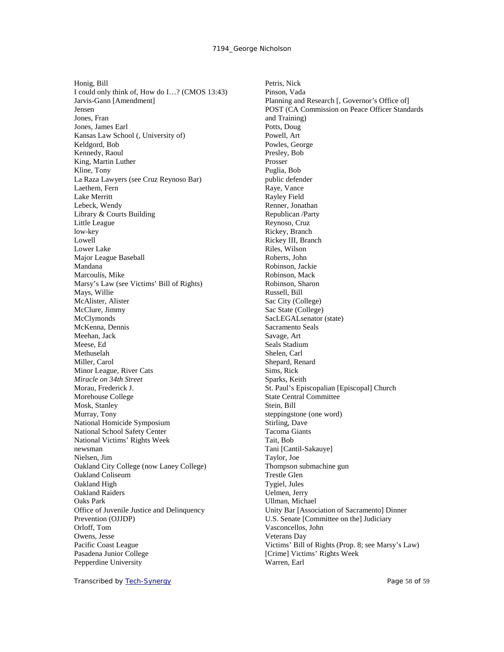Honig, Bill I could only think of, How do I…? (CMOS 13:43) Jarvis-Gann [Amendment] Jensen Jones, Fran Jones, James Earl Kansas Law School (, University of) Keldgord, Bob Kennedy, Raoul King, Martin Luther Kline, Tony La Raza Lawyers (see Cruz Reynoso Bar) Laethem, Fern Lake Merritt Lebeck, Wendy Library & Courts Building Little League low-key Lowell Lower Lake Major League Baseball Mandana Marcoulis, Mike Marsy's Law (see Victims' Bill of Rights) Mays, Willie McAlister, Alister McClure, Jimmy McClymonds McKenna, Dennis Meehan, Jack Meese, Ed Methuselah Miller, Carol Minor League, River Cats *Miracle on 34th Street* Morau, Frederick J. Morehouse College Mosk, Stanley Murray, Tony National Homicide Symposium National School Safety Center National Victims' Rights Week newsman Nielsen, Jim Oakland City College (now Laney College) Oakland Coliseum Oakland High Oakland Raiders Oaks Park Office of Juvenile Justice and Delinquency Prevention (OJJDP) Orloff, Tom Owens, Jesse Pacific Coast League Pasadena Junior College Pepperdine University

Petris, Nick Pinson, Vada Planning and Research [, Governor's Office of] POST (CA Commission on Peace Officer Standards and Training) Potts, Doug Powell, Art Powles, George Presley, Bob Prosser Puglia, Bob public defender Raye, Vance Rayley Field Renner, Jonathan Republican /Party Reynoso, Cruz Rickey, Branch Rickey III, Branch Riles, Wilson Roberts, John Robinson, Jackie Robinson, Mack Robinson, Sharon Russell, Bill Sac City (College) Sac State (College) SacLEGALsenator (state) Sacramento Seals Savage, Art Seals Stadium Shelen, Carl Shepard, Renard Sims, Rick Sparks, Keith St. Paul's Episcopalian [Episcopal] Church State Central Committee Stein, Bill steppingstone (one word) Stirling, Dave Tacoma Giants Tait, Bob Tani [Cantil-Sakauye] Taylor, Joe Thompson submachine gun Trestle Glen Tygiel, Jules Uelmen, Jerry Ullman, Michael Unity Bar [Association of Sacramento] Dinner U.S. Senate [Committee on the] Judiciary Vasconcellos, John Veterans Day Victims' Bill of Rights (Prop. 8; see Marsy's Law) [Crime] Victims' Rights Week Warren, Earl

Transcribed by [Tech-Synergy](http://www.tech-synergy.com/) Page 58 of 59